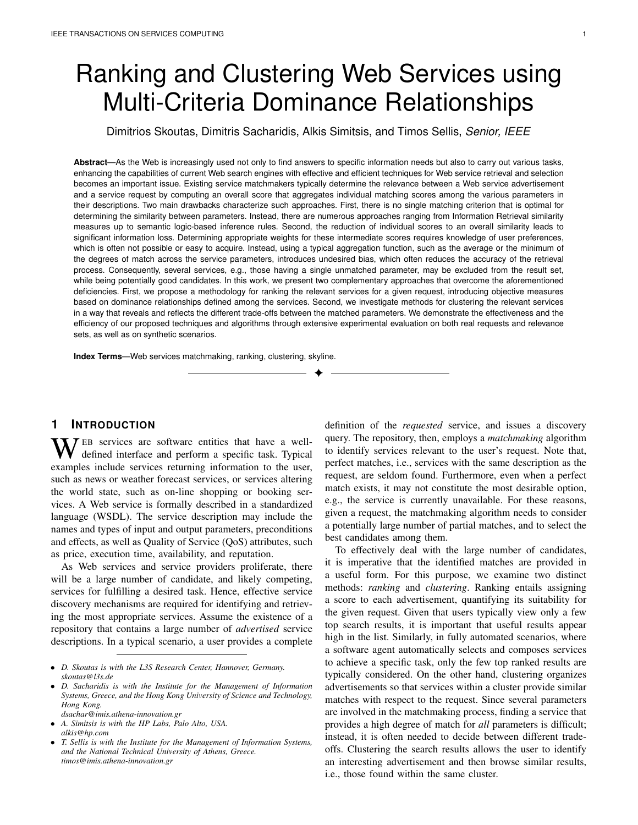# Ranking and Clustering Web Services using Multi-Criteria Dominance Relationships

Dimitrios Skoutas, Dimitris Sacharidis, Alkis Simitsis, and Timos Sellis, *Senior, IEEE*

**Abstract**—As the Web is increasingly used not only to find answers to specific information needs but also to carry out various tasks, enhancing the capabilities of current Web search engines with effective and efficient techniques for Web service retrieval and selection becomes an important issue. Existing service matchmakers typically determine the relevance between a Web service advertisement and a service request by computing an overall score that aggregates individual matching scores among the various parameters in their descriptions. Two main drawbacks characterize such approaches. First, there is no single matching criterion that is optimal for determining the similarity between parameters. Instead, there are numerous approaches ranging from Information Retrieval similarity measures up to semantic logic-based inference rules. Second, the reduction of individual scores to an overall similarity leads to significant information loss. Determining appropriate weights for these intermediate scores requires knowledge of user preferences, which is often not possible or easy to acquire. Instead, using a typical aggregation function, such as the average or the minimum of the degrees of match across the service parameters, introduces undesired bias, which often reduces the accuracy of the retrieval process. Consequently, several services, e.g., those having a single unmatched parameter, may be excluded from the result set, while being potentially good candidates. In this work, we present two complementary approaches that overcome the aforementioned deficiencies. First, we propose a methodology for ranking the relevant services for a given request, introducing objective measures based on dominance relationships defined among the services. Second, we investigate methods for clustering the relevant services in a way that reveals and reflects the different trade-offs between the matched parameters. We demonstrate the effectiveness and the efficiency of our proposed techniques and algorithms through extensive experimental evaluation on both real requests and relevance sets, as well as on synthetic scenarios.

✦

**Index Terms**—Web services matchmaking, ranking, clustering, skyline.

# **1 INTRODUCTION**

WEB services are software entities that have a well-<br>defined interface and perform a specific task. Typical<br>examples include carriers enterprise information to the user examples include services returning information to the user, such as news or weather forecast services, or services altering the world state, such as on-line shopping or booking services. A Web service is formally described in a standardized language (WSDL). The service description may include the names and types of input and output parameters, preconditions and effects, as well as Quality of Service (QoS) attributes, such as price, execution time, availability, and reputation.

As Web services and service providers proliferate, there will be a large number of candidate, and likely competing, services for fulfilling a desired task. Hence, effective service discovery mechanisms are required for identifying and retrieving the most appropriate services. Assume the existence of a repository that contains a large number of *advertised* service descriptions. In a typical scenario, a user provides a complete

• *D. Sacharidis is with the Institute for the Management of Information Systems, Greece, and the Hong Kong University of Science and Technology, Hong Kong.*

*dsachar@imis.athena-innovation.gr*

• *A. Simitsis is with the HP Labs, Palo Alto, USA. alkis@hp.com*

definition of the *requested* service, and issues a discovery query. The repository, then, employs a *matchmaking* algorithm to identify services relevant to the user's request. Note that, perfect matches, i.e., services with the same description as the request, are seldom found. Furthermore, even when a perfect match exists, it may not constitute the most desirable option, e.g., the service is currently unavailable. For these reasons, given a request, the matchmaking algorithm needs to consider a potentially large number of partial matches, and to select the best candidates among them.

To effectively deal with the large number of candidates, it is imperative that the identified matches are provided in a useful form. For this purpose, we examine two distinct methods: *ranking* and *clustering*. Ranking entails assigning a score to each advertisement, quantifying its suitability for the given request. Given that users typically view only a few top search results, it is important that useful results appear high in the list. Similarly, in fully automated scenarios, where a software agent automatically selects and composes services to achieve a specific task, only the few top ranked results are typically considered. On the other hand, clustering organizes advertisements so that services within a cluster provide similar matches with respect to the request. Since several parameters are involved in the matchmaking process, finding a service that provides a high degree of match for *all* parameters is difficult; instead, it is often needed to decide between different tradeoffs. Clustering the search results allows the user to identify an interesting advertisement and then browse similar results, i.e., those found within the same cluster.

<sup>•</sup> *D. Skoutas is with the L3S Research Center, Hannover, Germany. skoutas@l3s.de*

<sup>•</sup> *T. Sellis is with the Institute for the Management of Information Systems, and the National Technical University of Athens, Greece. timos@imis.athena-innovation.gr*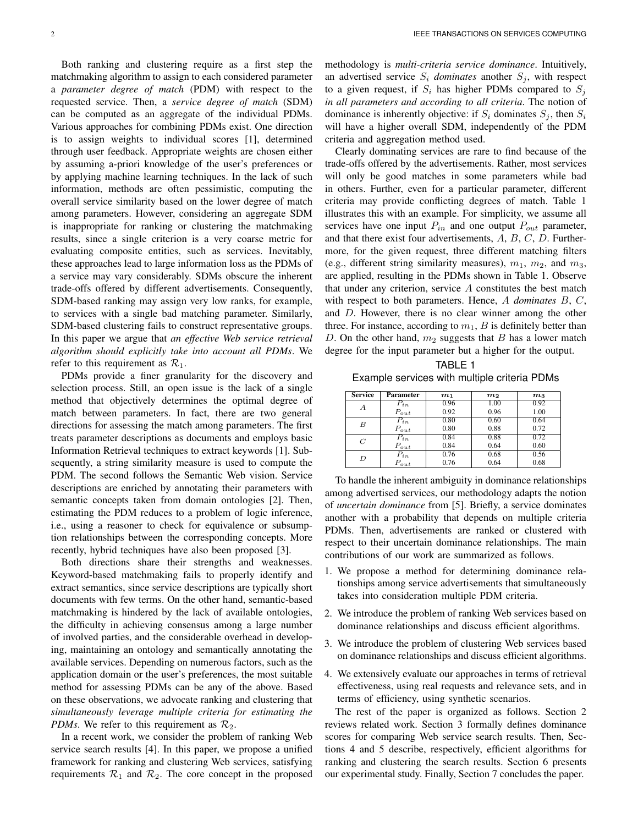Both ranking and clustering require as a first step the matchmaking algorithm to assign to each considered parameter a *parameter degree of match* (PDM) with respect to the requested service. Then, a *service degree of match* (SDM) can be computed as an aggregate of the individual PDMs. Various approaches for combining PDMs exist. One direction is to assign weights to individual scores [1], determined through user feedback. Appropriate weights are chosen either by assuming a-priori knowledge of the user's preferences or by applying machine learning techniques. In the lack of such information, methods are often pessimistic, computing the overall service similarity based on the lower degree of match among parameters. However, considering an aggregate SDM is inappropriate for ranking or clustering the matchmaking results, since a single criterion is a very coarse metric for evaluating composite entities, such as services. Inevitably, these approaches lead to large information loss as the PDMs of a service may vary considerably. SDMs obscure the inherent trade-offs offered by different advertisements. Consequently, SDM-based ranking may assign very low ranks, for example, to services with a single bad matching parameter. Similarly, SDM-based clustering fails to construct representative groups. In this paper we argue that *an effective Web service retrieval algorithm should explicitly take into account all PDMs*. We refer to this requirement as  $\mathcal{R}_1$ .

PDMs provide a finer granularity for the discovery and selection process. Still, an open issue is the lack of a single method that objectively determines the optimal degree of match between parameters. In fact, there are two general directions for assessing the match among parameters. The first treats parameter descriptions as documents and employs basic Information Retrieval techniques to extract keywords [1]. Subsequently, a string similarity measure is used to compute the PDM. The second follows the Semantic Web vision. Service descriptions are enriched by annotating their parameters with semantic concepts taken from domain ontologies [2]. Then, estimating the PDM reduces to a problem of logic inference, i.e., using a reasoner to check for equivalence or subsumption relationships between the corresponding concepts. More recently, hybrid techniques have also been proposed [3].

Both directions share their strengths and weaknesses. Keyword-based matchmaking fails to properly identify and extract semantics, since service descriptions are typically short documents with few terms. On the other hand, semantic-based matchmaking is hindered by the lack of available ontologies, the difficulty in achieving consensus among a large number of involved parties, and the considerable overhead in developing, maintaining an ontology and semantically annotating the available services. Depending on numerous factors, such as the application domain or the user's preferences, the most suitable method for assessing PDMs can be any of the above. Based on these observations, we advocate ranking and clustering that *simultaneously leverage multiple criteria for estimating the PDMs*. We refer to this requirement as  $\mathcal{R}_2$ .

In a recent work, we consider the problem of ranking Web service search results [4]. In this paper, we propose a unified framework for ranking and clustering Web services, satisfying requirements  $\mathcal{R}_1$  and  $\mathcal{R}_2$ . The core concept in the proposed methodology is *multi-criteria service dominance*. Intuitively, an advertised service  $S_i$  *dominates* another  $S_i$ , with respect to a given request, if  $S_i$  has higher PDMs compared to  $S_i$ *in all parameters and according to all criteria*. The notion of dominance is inherently objective: if  $S_i$  dominates  $S_j$ , then  $S_i$ will have a higher overall SDM, independently of the PDM criteria and aggregation method used.

Clearly dominating services are rare to find because of the trade-offs offered by the advertisements. Rather, most services will only be good matches in some parameters while bad in others. Further, even for a particular parameter, different criteria may provide conflicting degrees of match. Table 1 illustrates this with an example. For simplicity, we assume all services have one input  $P_{in}$  and one output  $P_{out}$  parameter, and that there exist four advertisements,  $A, B, C, D$ . Furthermore, for the given request, three different matching filters (e.g., different string similarity measures),  $m_1$ ,  $m_2$ , and  $m_3$ , are applied, resulting in the PDMs shown in Table 1. Observe that under any criterion, service A constitutes the best match with respect to both parameters. Hence, A *dominates* B, C, and D. However, there is no clear winner among the other three. For instance, according to  $m_1$ ,  $B$  is definitely better than D. On the other hand,  $m_2$  suggests that B has a lower match degree for the input parameter but a higher for the output.

TABLE 1 Example services with multiple criteria PDMs

| <b>Service</b> | <b>Parameter</b> | m <sub>1</sub> | $m_{\rm 2}$ | m <sub>3</sub> |
|----------------|------------------|----------------|-------------|----------------|
| А              | $P_{in}$         | 0.96           | 1.00        | 0.92           |
|                | $P_{out}$        | 0.92           | 0.96        | 1.00           |
| B              | $P_{in}$         | 0.80           | 0.60        | 0.64           |
|                | $P_{out}$        | 0.80           | 0.88        | 0.72           |
| C              | $P_{in}$         | 0.84           | 0.88        | 0.72           |
|                | $P_{out}$        | 0.84           | 0.64        | 0.60           |
| D              | $P_{in}$         | 0.76           | 0.68        | 0.56           |
|                | $P_{out}$        | 0.76           | 0.64        | 0.68           |

To handle the inherent ambiguity in dominance relationships among advertised services, our methodology adapts the notion of *uncertain dominance* from [5]. Briefly, a service dominates another with a probability that depends on multiple criteria PDMs. Then, advertisements are ranked or clustered with respect to their uncertain dominance relationships. The main contributions of our work are summarized as follows.

- 1. We propose a method for determining dominance relationships among service advertisements that simultaneously takes into consideration multiple PDM criteria.
- 2. We introduce the problem of ranking Web services based on dominance relationships and discuss efficient algorithms.
- 3. We introduce the problem of clustering Web services based on dominance relationships and discuss efficient algorithms.
- 4. We extensively evaluate our approaches in terms of retrieval effectiveness, using real requests and relevance sets, and in terms of efficiency, using synthetic scenarios.

The rest of the paper is organized as follows. Section 2 reviews related work. Section 3 formally defines dominance scores for comparing Web service search results. Then, Sections 4 and 5 describe, respectively, efficient algorithms for ranking and clustering the search results. Section 6 presents our experimental study. Finally, Section 7 concludes the paper.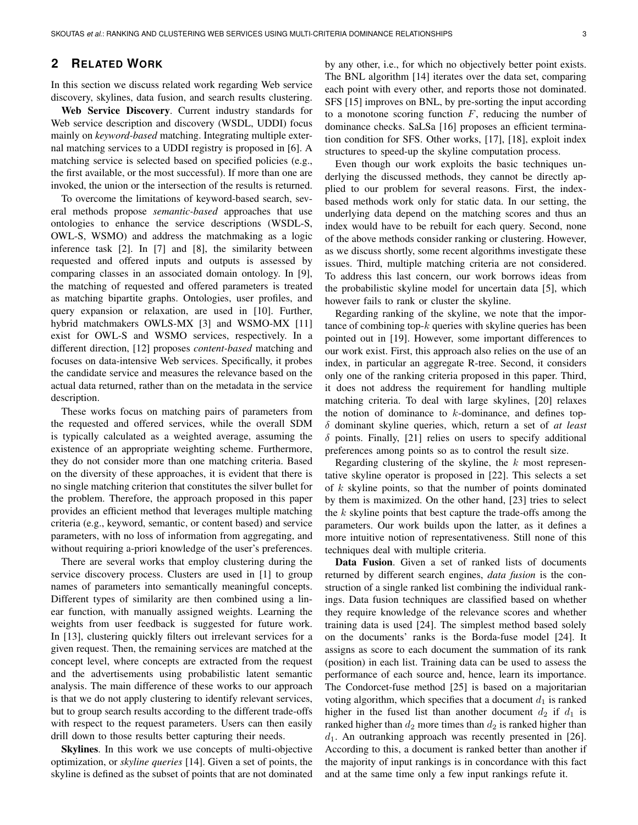# **2 RELATED WORK**

In this section we discuss related work regarding Web service discovery, skylines, data fusion, and search results clustering.

Web Service Discovery. Current industry standards for Web service description and discovery (WSDL, UDDI) focus mainly on *keyword-based* matching. Integrating multiple external matching services to a UDDI registry is proposed in [6]. A matching service is selected based on specified policies (e.g., the first available, or the most successful). If more than one are invoked, the union or the intersection of the results is returned.

To overcome the limitations of keyword-based search, several methods propose *semantic-based* approaches that use ontologies to enhance the service descriptions (WSDL-S, OWL-S, WSMO) and address the matchmaking as a logic inference task [2]. In [7] and [8], the similarity between requested and offered inputs and outputs is assessed by comparing classes in an associated domain ontology. In [9], the matching of requested and offered parameters is treated as matching bipartite graphs. Ontologies, user profiles, and query expansion or relaxation, are used in [10]. Further, hybrid matchmakers OWLS-MX [3] and WSMO-MX [11] exist for OWL-S and WSMO services, respectively. In a different direction, [12] proposes *content-based* matching and focuses on data-intensive Web services. Specifically, it probes the candidate service and measures the relevance based on the actual data returned, rather than on the metadata in the service description.

These works focus on matching pairs of parameters from the requested and offered services, while the overall SDM is typically calculated as a weighted average, assuming the existence of an appropriate weighting scheme. Furthermore, they do not consider more than one matching criteria. Based on the diversity of these approaches, it is evident that there is no single matching criterion that constitutes the silver bullet for the problem. Therefore, the approach proposed in this paper provides an efficient method that leverages multiple matching criteria (e.g., keyword, semantic, or content based) and service parameters, with no loss of information from aggregating, and without requiring a-priori knowledge of the user's preferences.

There are several works that employ clustering during the service discovery process. Clusters are used in [1] to group names of parameters into semantically meaningful concepts. Different types of similarity are then combined using a linear function, with manually assigned weights. Learning the weights from user feedback is suggested for future work. In [13], clustering quickly filters out irrelevant services for a given request. Then, the remaining services are matched at the concept level, where concepts are extracted from the request and the advertisements using probabilistic latent semantic analysis. The main difference of these works to our approach is that we do not apply clustering to identify relevant services, but to group search results according to the different trade-offs with respect to the request parameters. Users can then easily drill down to those results better capturing their needs.

Skylines. In this work we use concepts of multi-objective optimization, or *skyline queries* [14]. Given a set of points, the skyline is defined as the subset of points that are not dominated by any other, i.e., for which no objectively better point exists. The BNL algorithm [14] iterates over the data set, comparing each point with every other, and reports those not dominated. SFS [15] improves on BNL, by pre-sorting the input according to a monotone scoring function  $F$ , reducing the number of dominance checks. SaLSa [16] proposes an efficient termination condition for SFS. Other works, [17], [18], exploit index structures to speed-up the skyline computation process.

Even though our work exploits the basic techniques underlying the discussed methods, they cannot be directly applied to our problem for several reasons. First, the indexbased methods work only for static data. In our setting, the underlying data depend on the matching scores and thus an index would have to be rebuilt for each query. Second, none of the above methods consider ranking or clustering. However, as we discuss shortly, some recent algorithms investigate these issues. Third, multiple matching criteria are not considered. To address this last concern, our work borrows ideas from the probabilistic skyline model for uncertain data [5], which however fails to rank or cluster the skyline.

Regarding ranking of the skyline, we note that the importance of combining top- $k$  queries with skyline queries has been pointed out in [19]. However, some important differences to our work exist. First, this approach also relies on the use of an index, in particular an aggregate R-tree. Second, it considers only one of the ranking criteria proposed in this paper. Third, it does not address the requirement for handling multiple matching criteria. To deal with large skylines, [20] relaxes the notion of dominance to  $k$ -dominance, and defines topδ dominant skyline queries, which, return a set of *at least*  $\delta$  points. Finally, [21] relies on users to specify additional preferences among points so as to control the result size.

Regarding clustering of the skyline, the  $k$  most representative skyline operator is proposed in [22]. This selects a set of  $k$  skyline points, so that the number of points dominated by them is maximized. On the other hand, [23] tries to select the  $k$  skyline points that best capture the trade-offs among the parameters. Our work builds upon the latter, as it defines a more intuitive notion of representativeness. Still none of this techniques deal with multiple criteria.

Data Fusion. Given a set of ranked lists of documents returned by different search engines, *data fusion* is the construction of a single ranked list combining the individual rankings. Data fusion techniques are classified based on whether they require knowledge of the relevance scores and whether training data is used [24]. The simplest method based solely on the documents' ranks is the Borda-fuse model [24]. It assigns as score to each document the summation of its rank (position) in each list. Training data can be used to assess the performance of each source and, hence, learn its importance. The Condorcet-fuse method [25] is based on a majoritarian voting algorithm, which specifies that a document  $d_1$  is ranked higher in the fused list than another document  $d_2$  if  $d_1$  is ranked higher than  $d_2$  more times than  $d_2$  is ranked higher than  $d_1$ . An outranking approach was recently presented in [26]. According to this, a document is ranked better than another if the majority of input rankings is in concordance with this fact and at the same time only a few input rankings refute it.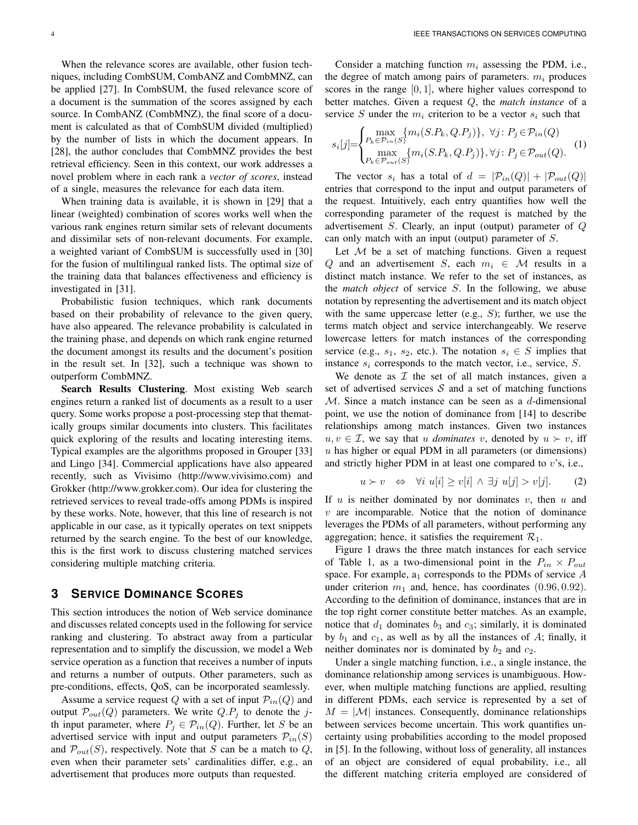When the relevance scores are available, other fusion techniques, including CombSUM, CombANZ and CombMNZ, can be applied [27]. In CombSUM, the fused relevance score of a document is the summation of the scores assigned by each source. In CombANZ (CombMNZ), the final score of a document is calculated as that of CombSUM divided (multiplied) by the number of lists in which the document appears. In [28], the author concludes that CombMNZ provides the best retrieval efficiency. Seen in this context, our work addresses a novel problem where in each rank a *vector of scores*, instead of a single, measures the relevance for each data item.

When training data is available, it is shown in [29] that a linear (weighted) combination of scores works well when the various rank engines return similar sets of relevant documents and dissimilar sets of non-relevant documents. For example, a weighted variant of CombSUM is successfully used in [30] for the fusion of multilingual ranked lists. The optimal size of the training data that balances effectiveness and efficiency is investigated in [31].

Probabilistic fusion techniques, which rank documents based on their probability of relevance to the given query, have also appeared. The relevance probability is calculated in the training phase, and depends on which rank engine returned the document amongst its results and the document's position in the result set. In [32], such a technique was shown to outperform CombMNZ.

Search Results Clustering. Most existing Web search engines return a ranked list of documents as a result to a user query. Some works propose a post-processing step that thematically groups similar documents into clusters. This facilitates quick exploring of the results and locating interesting items. Typical examples are the algorithms proposed in Grouper [33] and Lingo [34]. Commercial applications have also appeared recently, such as Vivisimo (http://www.vivisimo.com) and Grokker (http://www.grokker.com). Our idea for clustering the retrieved services to reveal trade-offs among PDMs is inspired by these works. Note, however, that this line of research is not applicable in our case, as it typically operates on text snippets returned by the search engine. To the best of our knowledge, this is the first work to discuss clustering matched services considering multiple matching criteria.

# **3 SERVICE DOMINANCE SCORES**

This section introduces the notion of Web service dominance and discusses related concepts used in the following for service ranking and clustering. To abstract away from a particular representation and to simplify the discussion, we model a Web service operation as a function that receives a number of inputs and returns a number of outputs. Other parameters, such as pre-conditions, effects, QoS, can be incorporated seamlessly.

Assume a service request Q with a set of input  $P_{in}(Q)$  and output  $P_{out}(Q)$  parameters. We write  $Q.P_j$  to denote the jth input parameter, where  $P_i \in \mathcal{P}_{in}(Q)$ . Further, let S be an advertised service with input and output parameters  $\mathcal{P}_{in}(S)$ and  $\mathcal{P}_{out}(S)$ , respectively. Note that S can be a match to Q, even when their parameter sets' cardinalities differ, e.g., an advertisement that produces more outputs than requested.

Consider a matching function  $m_i$  assessing the PDM, i.e., the degree of match among pairs of parameters.  $m_i$  produces scores in the range  $[0, 1]$ , where higher values correspond to better matches. Given a request Q, the *match instance* of a service S under the  $m_i$  criterion to be a vector  $s_i$  such that

$$
s_i[j] = \begin{cases} \max_{P_k \in \mathcal{P}_{in}(S)} \{m_i(S.P_k, Q.P_j)\}, & \forall j: P_j \in \mathcal{P}_{in}(Q) \\ \max_{P_k \in \mathcal{P}_{out}(S)} \{m_i(S.P_k, Q.P_j)\}, & \forall j: P_j \in \mathcal{P}_{out}(Q). \end{cases}
$$
(1)

The vector  $s_i$  has a total of  $d = |\mathcal{P}_{in}(Q)| + |\mathcal{P}_{out}(Q)|$ entries that correspond to the input and output parameters of the request. Intuitively, each entry quantifies how well the corresponding parameter of the request is matched by the advertisement S. Clearly, an input (output) parameter of  $Q$ can only match with an input (output) parameter of S.

Let  $M$  be a set of matching functions. Given a request Q and an advertisement S, each  $m_i \in \mathcal{M}$  results in a distinct match instance. We refer to the set of instances, as the *match object* of service S. In the following, we abuse notation by representing the advertisement and its match object with the same uppercase letter (e.g.,  $S$ ); further, we use the terms match object and service interchangeably. We reserve lowercase letters for match instances of the corresponding service (e.g.,  $s_1$ ,  $s_2$ , etc.). The notation  $s_i \in S$  implies that instance  $s_i$  corresponds to the match vector, i.e., service,  $S$ .

We denote as  $I$  the set of all match instances, given a set of advertised services  $S$  and a set of matching functions  $M$ . Since a match instance can be seen as a d-dimensional point, we use the notion of dominance from [14] to describe relationships among match instances. Given two instances  $u, v \in \mathcal{I}$ , we say that u *dominates* v, denoted by  $u \succ v$ , iff  $u$  has higher or equal PDM in all parameters (or dimensions) and strictly higher PDM in at least one compared to  $v$ 's, i.e.,

$$
u \succ v \iff \forall i \ u[i] \ge v[i] \land \exists j \ u[j] > v[j]. \tag{2}
$$

If  $u$  is neither dominated by nor dominates  $v$ , then  $u$  and  $v$  are incomparable. Notice that the notion of dominance leverages the PDMs of all parameters, without performing any aggregation; hence, it satisfies the requirement  $\mathcal{R}_1$ .

Figure 1 draws the three match instances for each service of Table 1, as a two-dimensional point in the  $P_{in} \times P_{out}$ space. For example,  $a_1$  corresponds to the PDMs of service  $A$ under criterion  $m_1$  and, hence, has coordinates  $(0.96, 0.92)$ . According to the definition of dominance, instances that are in the top right corner constitute better matches. As an example, notice that  $d_1$  dominates  $b_3$  and  $c_3$ ; similarly, it is dominated by  $b_1$  and  $c_1$ , as well as by all the instances of A; finally, it neither dominates nor is dominated by  $b_2$  and  $c_2$ .

Under a single matching function, i.e., a single instance, the dominance relationship among services is unambiguous. However, when multiple matching functions are applied, resulting in different PDMs, each service is represented by a set of  $M = |\mathcal{M}|$  instances. Consequently, dominance relationships between services become uncertain. This work quantifies uncertainty using probabilities according to the model proposed in [5]. In the following, without loss of generality, all instances of an object are considered of equal probability, i.e., all the different matching criteria employed are considered of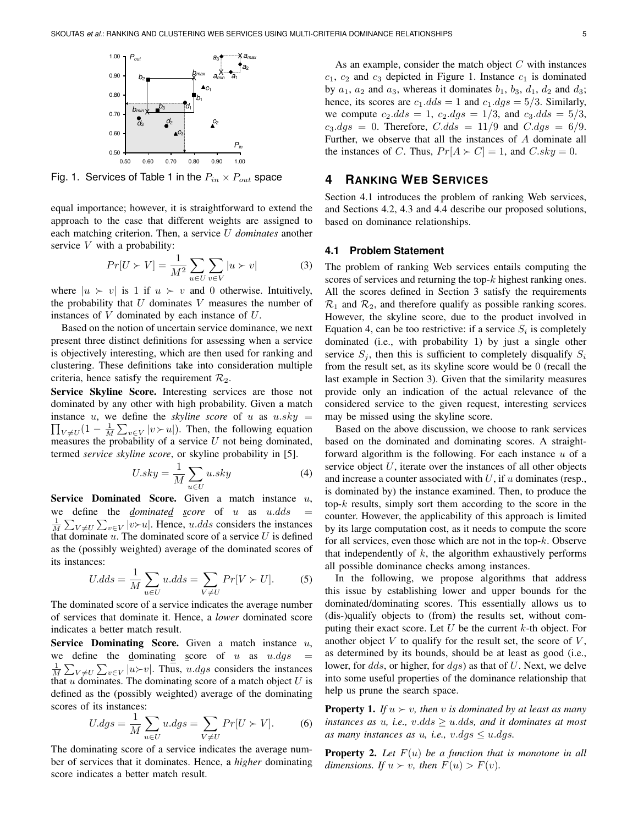

Fig. 1. Services of Table 1 in the  $P_{in} \times P_{out}$  space

equal importance; however, it is straightforward to extend the approach to the case that different weights are assigned to each matching criterion. Then, a service U *dominates* another service  $V$  with a probability:

$$
Pr[U \succ V] = \frac{1}{M^2} \sum_{u \in U} \sum_{v \in V} |u \succ v| \tag{3}
$$

where  $|u \rangle v$  is 1 if  $u \rangle v$  and 0 otherwise. Intuitively, the probability that  $U$  dominates  $V$  measures the number of instances of V dominated by each instance of U.

Based on the notion of uncertain service dominance, we next present three distinct definitions for assessing when a service is objectively interesting, which are then used for ranking and clustering. These definitions take into consideration multiple criteria, hence satisfy the requirement  $\mathcal{R}_2$ .

Service Skyline Score. Interesting services are those not dominated by any other with high probability. Given a match  $\prod_{V \neq U} (1 - \frac{1}{M} \sum_{v \in V} |v \rangle u|$ . Then, the following equation instance  $u$ , we define the *skyline score* of  $u$  as  $u.sky =$ measures the probability of a service  $U$  not being dominated, termed *service skyline score*, or skyline probability in [5].

$$
U.sky = \frac{1}{M} \sum_{u \in U} u.sky
$$
\n(4)

Service Dominated Score. Given a match instance  $u$ , we define the  $dominated$  *score* of  $u$  as  $u.dds$  $\frac{1}{M} \sum_{V \neq U} \sum_{v \in V} |v \rangle \sim u$ . Hence, u.dds considers the instances that dominate  $u$ . The dominated score of a service  $U$  is defined as the (possibly weighted) average of the dominated scores of its instances:

$$
U.dds = \frac{1}{M} \sum_{u \in U} u.dds = \sum_{V \neq U} Pr[V \succ U]. \tag{5}
$$

The dominated score of a service indicates the average number of services that dominate it. Hence, a *lower* dominated score indicates a better match result.

Service Dominating Score. Given a match instance  $u$ , we define the dominating score of u as  $u.dgs =$  $\frac{1}{M} \sum_{V \neq U} \sum_{v \in V} |u \rangle - v$ . Thus, u.dgs considers the instances that  $u$  dominates. The dominating score of a match object  $U$  is defined as the (possibly weighted) average of the dominating scores of its instances:

$$
U.dgs = \frac{1}{M} \sum_{u \in U} u.dgs = \sum_{V \neq U} Pr[U \succ V]. \tag{6}
$$

The dominating score of a service indicates the average number of services that it dominates. Hence, a *higher* dominating score indicates a better match result.

As an example, consider the match object  $C$  with instances  $c_1$ ,  $c_2$  and  $c_3$  depicted in Figure 1. Instance  $c_1$  is dominated by  $a_1$ ,  $a_2$  and  $a_3$ , whereas it dominates  $b_1$ ,  $b_3$ ,  $d_1$ ,  $d_2$  and  $d_3$ ; hence, its scores are  $c_1.dds = 1$  and  $c_1.dgs = 5/3$ . Similarly, we compute  $c_2. dds = 1$ ,  $c_2. dgs = 1/3$ , and  $c_3. dds = 5/3$ ,  $c_3.dgs = 0$ . Therefore,  $C.dds = 11/9$  and  $C.dgs = 6/9$ . Further, we observe that all the instances of A dominate all the instances of C. Thus,  $Pr[A \succ C] = 1$ , and  $C.\text{sky} = 0$ .

## **4 RANKING WEB SERVICES**

Section 4.1 introduces the problem of ranking Web services, and Sections 4.2, 4.3 and 4.4 describe our proposed solutions, based on dominance relationships.

## **4.1 Problem Statement**

The problem of ranking Web services entails computing the scores of services and returning the top-k highest ranking ones. All the scores defined in Section 3 satisfy the requirements  $\mathcal{R}_1$  and  $\mathcal{R}_2$ , and therefore qualify as possible ranking scores. However, the skyline score, due to the product involved in Equation 4, can be too restrictive: if a service  $S_i$  is completely dominated (i.e., with probability 1) by just a single other service  $S_j$ , then this is sufficient to completely disqualify  $S_i$ from the result set, as its skyline score would be 0 (recall the last example in Section 3). Given that the similarity measures provide only an indication of the actual relevance of the considered service to the given request, interesting services may be missed using the skyline score.

Based on the above discussion, we choose to rank services based on the dominated and dominating scores. A straightforward algorithm is the following. For each instance  $u$  of a service object  $U$ , iterate over the instances of all other objects and increase a counter associated with  $U$ , if  $u$  dominates (resp., is dominated by) the instance examined. Then, to produce the top- $k$  results, simply sort them according to the score in the counter. However, the applicability of this approach is limited by its large computation cost, as it needs to compute the score for all services, even those which are not in the top- $k$ . Observe that independently of  $k$ , the algorithm exhaustively performs all possible dominance checks among instances.

In the following, we propose algorithms that address this issue by establishing lower and upper bounds for the dominated/dominating scores. This essentially allows us to (dis-)qualify objects to (from) the results set, without computing their exact score. Let  $U$  be the current  $k$ -th object. For another object  $V$  to qualify for the result set, the score of  $V$ , as determined by its bounds, should be at least as good (i.e., lower, for *dds*, or higher, for *dgs*) as that of U. Next, we delve into some useful properties of the dominance relationship that help us prune the search space.

**Property 1.** *If*  $u \succ v$ , *then*  $v$  *is dominated by at least as many instances as u, i.e., v.dds*  $\geq u$ *dds, and it dominates at most as many instances as u, i.e.,*  $v.dqs \leq u.dqs$ .

Property 2. *Let* F(u) *be a function that is monotone in all dimensions. If*  $u \succ v$ *, then*  $F(u) > F(v)$ *.*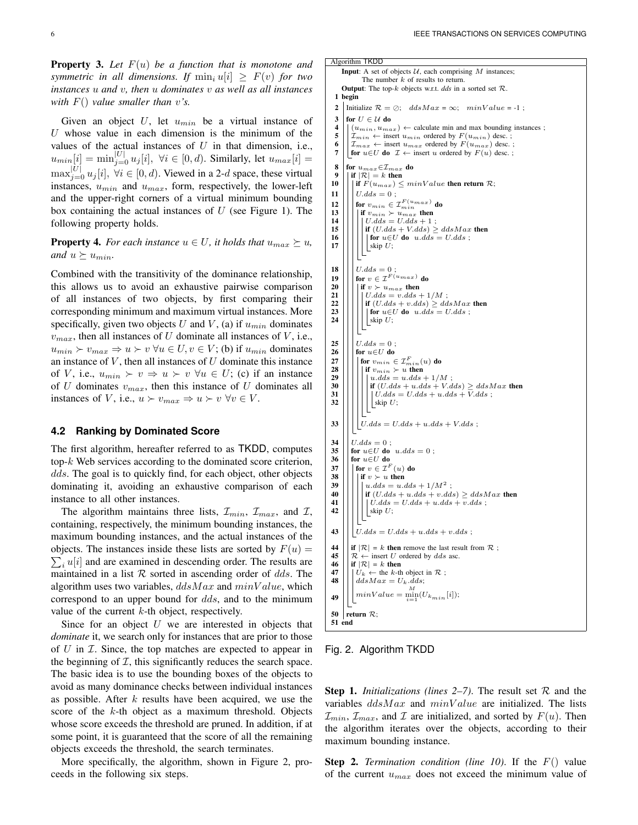Property 3. *Let* F(u) *be a function that is monotone and symmetric in all dimensions. If*  $\min_i u[i] \geq F(v)$  *for two instances* u *and* v*, then* u *dominates* v *as well as all instances with* F() *value smaller than* v*'s.*

Given an object  $U$ , let  $u_{min}$  be a virtual instance of  $U$  whose value in each dimension is the minimum of the values of the actual instances of  $U$  in that dimension, i.e.,  $u_{min}[i] = \min_{j=0}^{|U|} u_j[i], \ \forall i \in [0, d).$  Similarly, let  $u_{max}[i] =$  $\max_{j=0}^{|U|} u_j[i], \ \forall i \in [0, d)$ . Viewed in a 2-d space, these virtual instances,  $u_{min}$  and  $u_{max}$ , form, respectively, the lower-left and the upper-right corners of a virtual minimum bounding box containing the actual instances of  $U$  (see Figure 1). The following property holds.

**Property 4.** *For each instance*  $u \in U$ *, it holds that*  $u_{max} \succeq u$ *, and*  $u \succeq u_{min}$ .

Combined with the transitivity of the dominance relationship, this allows us to avoid an exhaustive pairwise comparison of all instances of two objects, by first comparing their corresponding minimum and maximum virtual instances. More specifically, given two objects U and V, (a) if  $u_{min}$  dominates  $v_{max}$ , then all instances of U dominate all instances of V, i.e.,  $u_{min} \succ v_{max} \Rightarrow u \succ v \ \forall u \in U, v \in V$ ; (b) if  $u_{min}$  dominates an instance of  $V$ , then all instances of  $U$  dominate this instance of V, i.e.,  $u_{min} \succ v \Rightarrow u \succ v \forall u \in U$ ; (c) if an instance of U dominates  $v_{max}$ , then this instance of U dominates all instances of V, i.e.,  $u \succ v_{max} \Rightarrow u \succ v \,\forall v \in V$ .

### **4.2 Ranking by Dominated Score**

The first algorithm, hereafter referred to as TKDD, computes top-k Web services according to the dominated score criterion, dds. The goal is to quickly find, for each object, other objects dominating it, avoiding an exhaustive comparison of each instance to all other instances.

The algorithm maintains three lists,  $\mathcal{I}_{min}$ ,  $\mathcal{I}_{max}$ , and  $\mathcal{I}$ , containing, respectively, the minimum bounding instances, the maximum bounding instances, and the actual instances of the objects. The instances inside these lists are sorted by  $F(u) =$  $\sum_i u[i]$  and are examined in descending order. The results are maintained in a list  $R$  sorted in ascending order of dds. The algorithm uses two variables,  $ddsMax$  and  $minValue$ , which correspond to an upper bound for dds, and to the minimum value of the current  $k$ -th object, respectively.

Since for an object  $U$  we are interested in objects that *dominate* it, we search only for instances that are prior to those of  $U$  in  $\mathcal{I}$ . Since, the top matches are expected to appear in the beginning of  $I$ , this significantly reduces the search space. The basic idea is to use the bounding boxes of the objects to avoid as many dominance checks between individual instances as possible. After  $k$  results have been acquired, we use the score of the k-th object as a maximum threshold. Objects whose score exceeds the threshold are pruned. In addition, if at some point, it is guaranteed that the score of all the remaining objects exceeds the threshold, the search terminates.

More specifically, the algorithm, shown in Figure 2, proceeds in the following six steps.

```
Algorithm TKDD
          Input: A set of objects U, each comprising M instances;
                         The number k of results to return.
          Output: The top-k objects w.r.t. dds in a sorted set \mathcal{R}.
    1 begin
   2 Initialize \mathcal{R} = \emptyset; ddsMax = \infty; minValue = -1;
   3 for U \in \mathcal{U} do
   4 \left( \left| \begin{array}{c} (u_{min}, u_{max}) \leftarrow \text{calculate min and max bounding instances } ; \\ \mathcal{T}_{min} \leftarrow \text{ insert } u_{min} \text{ ordered by } F(u_{min}) \text{ desc } ; \end{array} \right| \right)5 \left|\begin{array}{l} \tilde{\mathcal{I}}_{min} \leftarrow \text{insert } u_{min} \text{ ordered by } F(u_{min}) \text{ desc.} \\ \tilde{\mathcal{I}}_{max} \leftarrow \text{insert } u_{max} \text{ ordered by } F(u_{max}) \text{ desc.} \end{array}\right|\right|6 \left|\right| \left|\mathcal{I}_{max} \leftarrow \text{insert } u_{max} \text{ ordered by } F(u_{max}) \text{ desc.};<br>7 \left|\right| for u \in U do \mathcal{I} \leftarrow \text{insert } u \text{ ordered by } F(u) \text{ desc.};for u \in U do \mathcal{I} \leftarrow insert u ordered by F(u) desc.;
   8 for u_{max}∈\mathcal{I}_{max} do<br>9 | if |R| = k then
 9 \left|\begin{array}{c} 9 \\ 10 \end{array}\right| if |\mathcal{R}| = k then
                  | if F(u_{max}) \leq minValue then return \mathcal{R};
 11 \mid \bigcup U.dds = 0;
  12 \begin{vmatrix} \text{for } v_{min} \in \mathcal{I}_{min}^{F(u_{max})} \text{ do} \\ \text{if } v_{min} \succ u_{max} \text{ then} \\ |U.dds = U.dds + 1 \end{vmatrix}if \left|\frac{1}{n}\right|\left|\frac{1}{n}\right| \left|\frac{d}{dx} + V.dds\right| \geq ddsMax then
16 \left|\left|\left|\right|\right|\right| \left|\int \operatorname{or} u \in U \operatorname{do} u.d \check{ds} = U.d ds\right|;\lfloorskip U;
 18 || | U. dds = 0;
  19 | | for v \in \mathcal{I}^{F(u_{max})} do
20 \left|\left|\left|\left|\begin{array}{c} \text{if } v \succ u_{max} \text{ then } \\ | U_{1} d ds = v_{1} d ds \end{array}\right|\right|\right|U_{\cdot}dds = v.dds + 1/M :
 22 | \int | \int if (U.dds + v.dds) \geq ddsMax then
\begin{array}{c|c|c} \textbf{23} & \textbf{1} & \textbf{1} & \textbf{for } u \in U \textbf{do} & u.dds = U.dds ; \\ \textbf{24} & \textbf{1} & \textbf{skip } U: & \end{array}\lfloorskip U;
 25 \Big|\Big|\Big| U.dds = 0 ;<br>26 \Big|\Big| \text{ for } u \in U \text{ do}\begin{array}{c|c|c} \textbf{26} & \textbf{for } u \in U \textbf{ do} \\ \textbf{27} & \textbf{for } v_{min} \in \end{array}27 \big|\big|\big|\big| for v_{min}\in \mathcal{I}_{min}^F(u) do
 28 | | | | if v_{min} \succ u then
 29 u.dds = u.dds + 1/M ;
 30 \left[\begin{array}{c}\n\end{array}\right]\n\left[\begin{array}{c}\n\end{array}\right]\n\left[\begin{array}{c}\n\end{array}\right]\n\left[\begin{array}{c}\n\end{array}\right]\n\left[\begin{array}{c}\n\end{array}\right]\n\left[\begin{array}{c}\n\end{array}\right]\n\left[\begin{array}{c}\nU. dds + u. dds + V. dds + V. dds\n\end{array}\right]\n\left[\begin{array}{c}\n\end{array}\right]\int U. dds = U. dds + u. dds + \overline{V}. dds;
 32 |||||||| skip U;
33 \left|\right|\left|\right| U.dds = U.dds + u.dds + V.dds ;34 \begin{array}{c} 34 \ 35 \end{array} \begin{array}{c} U.dds = 0 ; \\ for u \in U do
35 for u \in U do u.dds = 0;<br>36 for u \in U do
 36 \left|\begin{array}{ccc} \text{for } u \in U & \text{do} \\ \text{for } v \in \mathcal{T}^F \end{array}\right|\big\vert for v\in\mathcal{I}^F(u) do
38 | | | | if v \succ u then
  39 | | | | u.dds = u.dds + 1/M^2;
 40 if (U.dds + u.dds + v.dds) \geq ddsMax then<br>41 if U.dds = U.dds + u.dds + v.dds.
 41 \left\| \begin{matrix} \cdot & \cdot \\ \cdot & \cdot \end{matrix} \right\| \begin{matrix} \cdot & \cdot \\ \cdot & \cdot \end{matrix} \left\| \begin{matrix} \cdot & \cdot \\ \cdot & \cdot \end{matrix} \right\| \left\| \begin{matrix} \cdot & \cdot \\ \cdot & \cdot \end{matrix} \right\| \left\| \begin{matrix} \cdot & \cdot \\ \cdot & \cdot \end{matrix} \right\| \left\| \begin{matrix} \cdot & \cdot \\ \cdot & \cdot \end{matrix} \right\| \left\| \begin{matrix} \cdot & \cdot \\ \cdot & \cdot \end{matrix} \right\| \left\|\label{eq:2} \bigsqcup \mbox{skip } U;43 || | U. dds = U. dds + u. dds + v. dds ;44 \left| \begin{array}{l} \text{if } |\mathcal{R}| = k \text{ then remove the last result from } \mathcal{R} \\ \mathcal{R} \leftarrow \text{insert } U \text{ ordered by } ds \text{ asc.} \end{array} \right.\mathcal{R} ← insert U ordered by dds asc.
 \begin{array}{c|c|c|c}\n\mathbf{46} & \mathbf{if} & \mathcal{R} & = k \text{ then} \\
\mathbf{47} & \mathbf{if} & \mathcal{R} & = \text{the } k \text{-th}\n\end{array}47 \left|\left|\left|\left| \begin{array}{l} U_k \leftarrow \text{ the } k\text{-th object in } \mathcal{R} \\ dsMax = U_k, ds \end{array}\right|\right|\right|ddsMax = U_k.dds;minValue = \frac{M}{i=1}(U_{k_{min}}[i]);49
 50 return \mathcal{R};
 51 end
```
#### Fig. 2. Algorithm TKDD

**Step 1.** *Initializations (lines 2–7)*. The result set  $\mathcal{R}$  and the variables  $ddsMax$  and  $minValue$  are initialized. The lists  $\mathcal{I}_{min}, \mathcal{I}_{max}$ , and  $\mathcal I$  are initialized, and sorted by  $F(u)$ . Then the algorithm iterates over the objects, according to their maximum bounding instance.

Step 2. *Termination condition (line 10)*. If the F() value of the current  $u_{max}$  does not exceed the minimum value of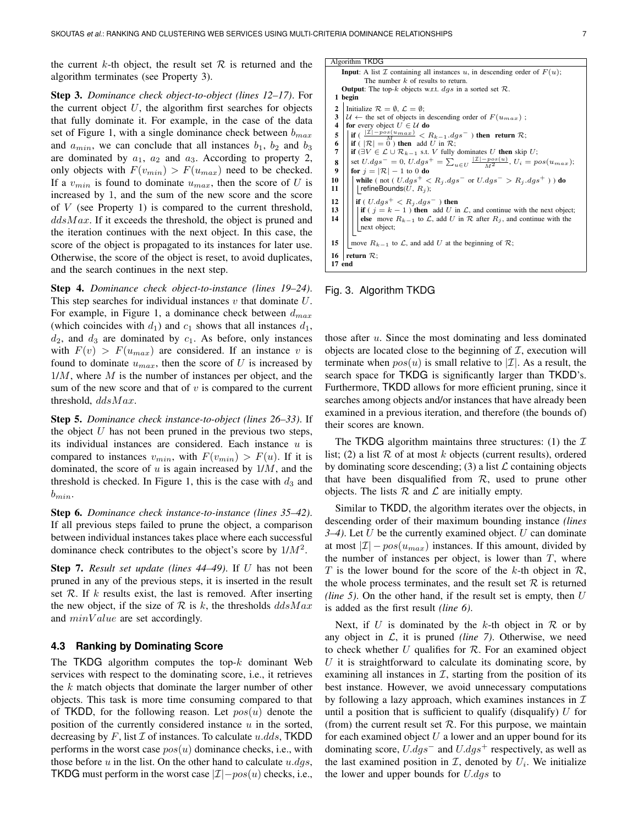the current k-th object, the result set  $\mathcal R$  is returned and the algorithm terminates (see Property 3).

Step 3. *Dominance check object-to-object (lines 12–17)*. For the current object  $U$ , the algorithm first searches for objects that fully dominate it. For example, in the case of the data set of Figure 1, with a single dominance check between  $b_{max}$ and  $a_{min}$ , we can conclude that all instances  $b_1$ ,  $b_2$  and  $b_3$ are dominated by  $a_1$ ,  $a_2$  and  $a_3$ . According to property 2, only objects with  $F(v_{min}) > F(u_{max})$  need to be checked. If a  $v_{min}$  is found to dominate  $u_{max}$ , then the score of U is increased by 1, and the sum of the new score and the score of  $V$  (see Property 1) is compared to the current threshold,  $ddsMax$ . If it exceeds the threshold, the object is pruned and the iteration continues with the next object. In this case, the score of the object is propagated to its instances for later use. Otherwise, the score of the object is reset, to avoid duplicates, and the search continues in the next step.

Step 4. *Dominance check object-to-instance (lines 19–24)*. This step searches for individual instances  $v$  that dominate  $U$ . For example, in Figure 1, a dominance check between  $d_{max}$ (which coincides with  $d_1$ ) and  $c_1$  shows that all instances  $d_1$ ,  $d_2$ , and  $d_3$  are dominated by  $c_1$ . As before, only instances with  $F(v) > F(u_{max})$  are considered. If an instance v is found to dominate  $u_{max}$ , then the score of U is increased by  $1/M$ , where  $M$  is the number of instances per object, and the sum of the new score and that of  $v$  is compared to the current threshold,  $ddsMax$ .

Step 5. *Dominance check instance-to-object (lines 26–33)*. If the object  $U$  has not been pruned in the previous two steps, its individual instances are considered. Each instance  $u$  is compared to instances  $v_{min}$ , with  $F(v_{min}) > F(u)$ . If it is dominated, the score of  $u$  is again increased by  $1/M$ , and the threshold is checked. In Figure 1, this is the case with  $d_3$  and  $b_{min}$ .

Step 6. *Dominance check instance-to-instance (lines 35–42)*. If all previous steps failed to prune the object, a comparison between individual instances takes place where each successful dominance check contributes to the object's score by  $1/M^2$ .

Step 7. *Result set update (lines 44–49)*. If U has not been pruned in any of the previous steps, it is inserted in the result set  $\mathcal R$ . If k results exist, the last is removed. After inserting the new object, if the size of  $R$  is k, the thresholds  $ddsMax$ and  $minValue$  are set accordingly.

## **4.3 Ranking by Dominating Score**

The TKDG algorithm computes the top- $k$  dominant Web services with respect to the dominating score, i.e., it retrieves the  $k$  match objects that dominate the larger number of other objects. This task is more time consuming compared to that of TKDD, for the following reason. Let  $pos(u)$  denote the position of the currently considered instance  $u$  in the sorted, decreasing by F, list  $\mathcal I$  of instances. To calculate u.dds, TKDD performs in the worst case  $pos(u)$  dominance checks, i.e., with those before  $u$  in the list. On the other hand to calculate  $u.dqs$ , TKDG must perform in the worst case  $|\mathcal{I}|$  –  $pos(u)$  checks, i.e.,

|                | Algorithm TKDG                                                                                                                           |  |  |  |
|----------------|------------------------------------------------------------------------------------------------------------------------------------------|--|--|--|
|                | <b>Input:</b> A list $\mathcal I$ containing all instances $u$ , in descending order of $F(u)$ ;<br>The number $k$ of results to return. |  |  |  |
|                | <b>Output:</b> The top-k objects w.r.t. $dgs$ in a sorted set $\mathcal{R}$ .                                                            |  |  |  |
|                | 1 begin                                                                                                                                  |  |  |  |
|                |                                                                                                                                          |  |  |  |
| $\overline{2}$ | Initialize $\mathcal{R} = \emptyset$ , $\mathcal{L} = \emptyset$ ;                                                                       |  |  |  |
| 3              | $\mathcal{U} \leftarrow$ the set of objects in descending order of $F(u_{max})$ ;                                                        |  |  |  |
| 4              | for every object $U \in \mathcal{U}$ do                                                                                                  |  |  |  |
| 5              | $\left  \text{ if } \left( \frac{ \mathcal{I}  - pos(u_{max})}{M} \right) \right  R_{k-1}.dgs^-$ ) then return $\mathcal{R}$ ;           |  |  |  |
| 6              | if ( $ \mathcal{R}  = 0$ ) then add U in $\mathcal{R}$ ;                                                                                 |  |  |  |
| 7              |                                                                                                                                          |  |  |  |
|                | if $(\exists V \in \mathcal{L} \cup \mathcal{R}_{k-1}$ s.t. V fully dominates U then skip U;                                             |  |  |  |
| 8              | set $U.dgs^- = 0$ , $U.dgs^+ = \sum_{u \in U} \frac{ \mathcal{I}  - pos(u)}{M^2}$ , $U_i = pos(u_{max})$ ;                               |  |  |  |
| 9              | for $j =  \mathcal{R}  - 1$ to 0 do                                                                                                      |  |  |  |
| 10             | while (not (U.dgs <sup>+</sup> < R <sub>i</sub> .dgs <sup>-</sup> or U.dgs <sup>-</sup> > R <sub>i</sub> .dgs <sup>+</sup> )) do         |  |  |  |
| 11             | refineBounds $(U, R_i)$ ;                                                                                                                |  |  |  |
|                |                                                                                                                                          |  |  |  |
| 12             | if ( $U.dgs^+ < R_i.dgs^-$ ) then                                                                                                        |  |  |  |
| 13             | if ( $j = k - 1$ ) then add U in L, and continue with the next object;                                                                   |  |  |  |
| 14             | else move $R_{k-1}$ to $\mathcal{L}$ , add U in $\mathcal{R}$ after $R_i$ , and continue with the                                        |  |  |  |
|                | next object;                                                                                                                             |  |  |  |
|                |                                                                                                                                          |  |  |  |
| 15             | move $R_{k-1}$ to $\mathcal{L}$ , and add U at the beginning of $\mathcal{R}$ ;                                                          |  |  |  |
|                |                                                                                                                                          |  |  |  |
| 16             | return $\mathcal{R}$ ;                                                                                                                   |  |  |  |
| 17 end         |                                                                                                                                          |  |  |  |

## Fig. 3. Algorithm TKDG

those after  $u$ . Since the most dominating and less dominated objects are located close to the beginning of  $I$ , execution will terminate when  $pos(u)$  is small relative to  $|\mathcal{I}|$ . As a result, the search space for TKDG is significantly larger than TKDD's. Furthermore, TKDD allows for more efficient pruning, since it searches among objects and/or instances that have already been examined in a previous iteration, and therefore (the bounds of) their scores are known.

The TKDG algorithm maintains three structures: (1) the  $I$ list; (2) a list  $R$  of at most  $k$  objects (current results), ordered by dominating score descending; (3) a list  $\mathcal L$  containing objects that have been disqualified from  $R$ , used to prune other objects. The lists  $R$  and  $L$  are initially empty.

Similar to TKDD, the algorithm iterates over the objects, in descending order of their maximum bounding instance *(lines 3–4)*. Let U be the currently examined object. U can dominate at most  $|\mathcal{I}| - pos(u_{max})$  instances. If this amount, divided by the number of instances per object, is lower than  $T$ , where T is the lower bound for the score of the k-th object in  $\mathcal{R}$ , the whole process terminates, and the result set  $R$  is returned *(line 5)*. On the other hand, if the result set is empty, then  $U$ is added as the first result *(line 6)*.

Next, if U is dominated by the k-th object in  $\mathcal R$  or by any object in  $\mathcal{L}$ , it is pruned *(line 7)*. Otherwise, we need to check whether  $U$  qualifies for  $R$ . For an examined object  $U$  it is straightforward to calculate its dominating score, by examining all instances in  $I$ , starting from the position of its best instance. However, we avoid unnecessary computations by following a lazy approach, which examines instances in  $\mathcal I$ until a position that is sufficient to qualify (disqualify)  $U$  for (from) the current result set  $\mathcal R$ . For this purpose, we maintain for each examined object  $U$  a lower and an upper bound for its dominating score,  $U.dgs^-$  and  $U.dgs^+$  respectively, as well as the last examined position in  $\mathcal{I}$ , denoted by  $U_i$ . We initialize the lower and upper bounds for  $U.dgs$  to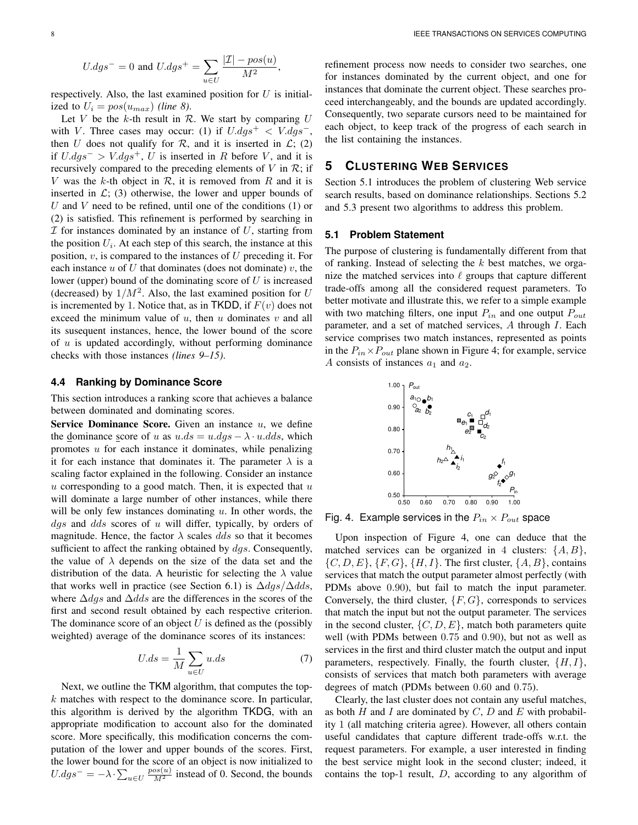$$
U.dgs^-=0 \text{ and } U.dgs^+=\sum_{u\in U}\frac{|\mathcal{I}|-pos(u)}{M^2},
$$

respectively. Also, the last examined position for  $U$  is initialized to  $U_i = pos(u_{max})$  *(line 8)*.

Let  $V$  be the  $k$ -th result in  $R$ . We start by comparing  $U$ with V. Three cases may occur: (1) if  $U.dgs^{+} < V.dgs^{-}$ , then U does not qualify for  $R$ , and it is inserted in  $\mathcal{L}$ ; (2) if  $U.dgs^- > V.dgs^+$ , U is inserted in R before V, and it is recursively compared to the preceding elements of  $V$  in  $\mathcal{R}$ ; if V was the k-th object in  $\mathcal{R}$ , it is removed from  $R$  and it is inserted in  $\mathcal{L}$ ; (3) otherwise, the lower and upper bounds of U and V need to be refined, until one of the conditions  $(1)$  or (2) is satisfied. This refinement is performed by searching in  $I$  for instances dominated by an instance of  $U$ , starting from the position  $U_i$ . At each step of this search, the instance at this position,  $v$ , is compared to the instances of  $U$  preceding it. For each instance  $u$  of  $U$  that dominates (does not dominate)  $v$ , the lower (upper) bound of the dominating score of  $U$  is increased (decreased) by  $1/M^2$ . Also, the last examined position for U is incremented by 1. Notice that, as in TKDD, if  $F(v)$  does not exceed the minimum value of  $u$ , then  $u$  dominates  $v$  and all its susequent instances, hence, the lower bound of the score of  $u$  is updated accordingly, without performing dominance checks with those instances *(lines 9–15)*.

## **4.4 Ranking by Dominance Score**

This section introduces a ranking score that achieves a balance between dominated and dominating scores.

Service Dominance Score. Given an instance  $u$ , we define the dominance score of u as  $u \, ds = u \, dg \, s - \lambda \cdot u \, ds$ , which promotes  $u$  for each instance it dominates, while penalizing it for each instance that dominates it. The parameter  $\lambda$  is a scaling factor explained in the following. Consider an instance  $u$  corresponding to a good match. Then, it is expected that  $u$ will dominate a large number of other instances, while there will be only few instances dominating  $u$ . In other words, the  $dgs$  and  $dds$  scores of u will differ, typically, by orders of magnitude. Hence, the factor  $\lambda$  scales dds so that it becomes sufficient to affect the ranking obtained by  $dgs$ . Consequently, the value of  $\lambda$  depends on the size of the data set and the distribution of the data. A heuristic for selecting the  $\lambda$  value that works well in practice (see Section 6.1) is  $\Delta d\alpha s / \Delta d\alpha s$ , where  $\Delta dgs$  and  $\Delta dds$  are the differences in the scores of the first and second result obtained by each respective criterion. The dominance score of an object  $U$  is defined as the (possibly weighted) average of the dominance scores of its instances:

$$
U.ds = \frac{1}{M} \sum_{u \in U} u.ds \tag{7}
$$

Next, we outline the TKM algorithm, that computes the top $k$  matches with respect to the dominance score. In particular, this algorithm is derived by the algorithm TKDG, with an appropriate modification to account also for the dominated score. More specifically, this modification concerns the computation of the lower and upper bounds of the scores. First, the lower bound for the score of an object is now initialized to  $U.dgs^{-} = -\lambda \cdot \sum_{u \in U} \frac{pos(u)}{M^2}$  instead of 0. Second, the bounds refinement process now needs to consider two searches, one for instances dominated by the current object, and one for instances that dominate the current object. These searches proceed interchangeably, and the bounds are updated accordingly. Consequently, two separate cursors need to be maintained for each object, to keep track of the progress of each search in the list containing the instances.

# **5 CLUSTERING WEB SERVICES**

Section 5.1 introduces the problem of clustering Web service search results, based on dominance relationships. Sections 5.2 and 5.3 present two algorithms to address this problem.

## **5.1 Problem Statement**

The purpose of clustering is fundamentally different from that of ranking. Instead of selecting the  $k$  best matches, we organize the matched services into  $\ell$  groups that capture different trade-offs among all the considered request parameters. To better motivate and illustrate this, we refer to a simple example with two matching filters, one input  $P_{in}$  and one output  $P_{out}$ parameter, and a set of matched services, A through I. Each service comprises two match instances, represented as points in the  $P_{in} \times P_{out}$  plane shown in Figure 4; for example, service A consists of instances  $a_1$  and  $a_2$ .



Fig. 4. Example services in the  $P_{in} \times P_{out}$  space

Upon inspection of Figure 4, one can deduce that the matched services can be organized in 4 clusters:  $\{A, B\}$ ,  $\{C, D, E\}, \{F, G\}, \{H, I\}.$  The first cluster,  $\{A, B\}$ , contains services that match the output parameter almost perfectly (with PDMs above 0.90), but fail to match the input parameter. Conversely, the third cluster,  $\{F, G\}$ , corresponds to services that match the input but not the output parameter. The services in the second cluster,  $\{C, D, E\}$ , match both parameters quite well (with PDMs between 0.75 and 0.90), but not as well as services in the first and third cluster match the output and input parameters, respectively. Finally, the fourth cluster,  $\{H, I\}$ , consists of services that match both parameters with average degrees of match (PDMs between 0.60 and 0.75).

Clearly, the last cluster does not contain any useful matches, as both H and I are dominated by  $C$ , D and E with probability 1 (all matching criteria agree). However, all others contain useful candidates that capture different trade-offs w.r.t. the request parameters. For example, a user interested in finding the best service might look in the second cluster; indeed, it contains the top-1 result,  $D$ , according to any algorithm of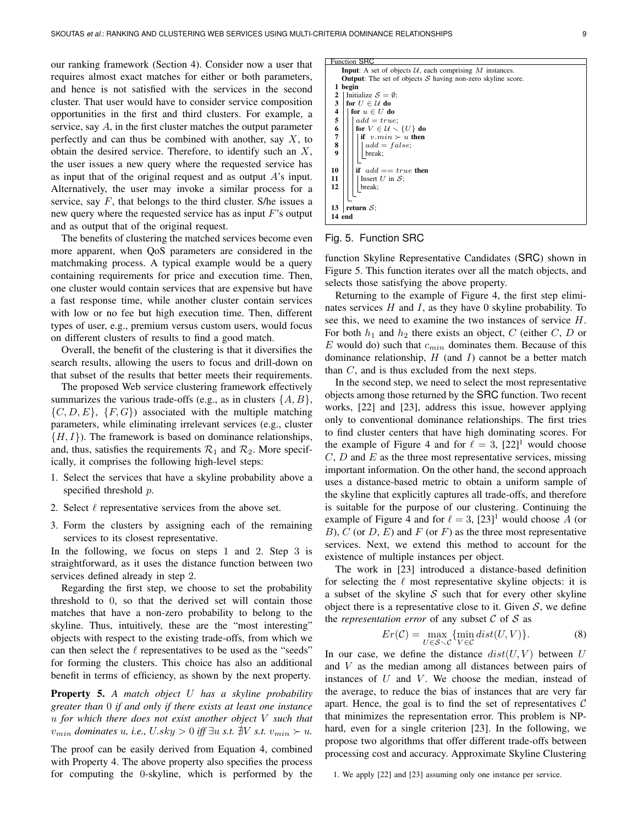our ranking framework (Section 4). Consider now a user that requires almost exact matches for either or both parameters, and hence is not satisfied with the services in the second cluster. That user would have to consider service composition opportunities in the first and third clusters. For example, a service, say A, in the first cluster matches the output parameter perfectly and can thus be combined with another, say  $X$ , to obtain the desired service. Therefore, to identify such an X, the user issues a new query where the requested service has as input that of the original request and as output  $A$ 's input. Alternatively, the user may invoke a similar process for a service, say  $F$ , that belongs to the third cluster. S/he issues a new query where the requested service has as input  $F$ 's output and as output that of the original request.

The benefits of clustering the matched services become even more apparent, when QoS parameters are considered in the matchmaking process. A typical example would be a query containing requirements for price and execution time. Then, one cluster would contain services that are expensive but have a fast response time, while another cluster contain services with low or no fee but high execution time. Then, different types of user, e.g., premium versus custom users, would focus on different clusters of results to find a good match.

Overall, the benefit of the clustering is that it diversifies the search results, allowing the users to focus and drill-down on that subset of the results that better meets their requirements.

The proposed Web service clustering framework effectively summarizes the various trade-offs (e.g., as in clusters  $\{A, B\}$ ,  $\{C, D, E\}, \{F, G\}$  associated with the multiple matching parameters, while eliminating irrelevant services (e.g., cluster  $\{H, I\}$ ). The framework is based on dominance relationships, and, thus, satisfies the requirements  $\mathcal{R}_1$  and  $\mathcal{R}_2$ . More specifically, it comprises the following high-level steps:

- 1. Select the services that have a skyline probability above a specified threshold p.
- 2. Select  $\ell$  representative services from the above set.
- 3. Form the clusters by assigning each of the remaining services to its closest representative.

In the following, we focus on steps 1 and 2. Step 3 is straightforward, as it uses the distance function between two services defined already in step 2.

Regarding the first step, we choose to set the probability threshold to 0, so that the derived set will contain those matches that have a non-zero probability to belong to the skyline. Thus, intuitively, these are the "most interesting" objects with respect to the existing trade-offs, from which we can then select the  $\ell$  representatives to be used as the "seeds" for forming the clusters. This choice has also an additional benefit in terms of efficiency, as shown by the next property.

Property 5. *A match object* U *has a skyline probability greater than* 0 *if and only if there exists at least one instance* u *for which there does not exist another object* V *such that*  $v_{min}$  *dominates u, i.e.,*  $U$ *.sky* > 0 *iff*  $\exists u$  *s.t.*  $\sharp V$  *s.t.*  $v_{min}$  ≻ *u.* 

The proof can be easily derived from Equation 4, combined with Property 4. The above property also specifies the process for computing the 0-skyline, which is performed by the

**Function SRC** Input: A set of objects  $U$ , each comprising  $M$  instances. **Output:** The set of objects  $S$  having non-zero skyline score. 1 begin 2 | Initialize  $S = \emptyset$ ;<br>3 | for  $U \in \mathcal{U}$  do for  $U \in \mathcal{U}$  do  $\begin{array}{c|c} \textbf{4} & \textbf{for } u \in U \textbf{ do} \\ \textbf{5} & | \textbf{add} = true \end{array}$  $add = true;$ 6  $\begin{array}{|c|c|c|c|c|c|}\n6 & \text{for } V \in \mathcal{U} \setminus \{U\} \text{ do} \\
\hline\n7 & \text{if } v \text{ } min \succ u \text{ then}\n\end{array}$ if  $v.min \succ u$  then 8 add = false; break; 10  $\left|\left|\begin{array}{cc} \text{if} \text{ } add == true \text{ then} \\ \text{Insert } U \text{ in } S \end{array}\right|\right|$  $\begin{array}{c|c|c} \n\textbf{11} & \textbf{12} & \textbf{13} \\ \n\textbf{12} & \textbf{14} & \textbf{15} \\ \n\end{array}$ break: 13 | return  $S$ ; 14 end

#### Fig. 5. Function SRC

function Skyline Representative Candidates (SRC) shown in Figure 5. This function iterates over all the match objects, and selects those satisfying the above property.

Returning to the example of Figure 4, the first step eliminates services  $H$  and  $I$ , as they have 0 skyline probability. To see this, we need to examine the two instances of service H. For both  $h_1$  and  $h_2$  there exists an object, C (either C, D or E would do) such that  $c_{min}$  dominates them. Because of this dominance relationship,  $H$  (and  $I$ ) cannot be a better match than  $C$ , and is thus excluded from the next steps.

In the second step, we need to select the most representative objects among those returned by the SRC function. Two recent works, [22] and [23], address this issue, however applying only to conventional dominance relationships. The first tries to find cluster centers that have high dominating scores. For the example of Figure 4 and for  $\ell = 3$ , [22]<sup>1</sup> would choose  $C, D$  and  $E$  as the three most representative services, missing important information. On the other hand, the second approach uses a distance-based metric to obtain a uniform sample of the skyline that explicitly captures all trade-offs, and therefore is suitable for the purpose of our clustering. Continuing the example of Figure 4 and for  $\ell = 3$ ,  $[23]$ <sup>1</sup> would choose A (or B), C (or  $D$ , E) and F (or F) as the three most representative services. Next, we extend this method to account for the existence of multiple instances per object.

The work in [23] introduced a distance-based definition for selecting the  $\ell$  most representative skyline objects: it is a subset of the skyline  $S$  such that for every other skyline object there is a representative close to it. Given  $S$ , we define the *representation error* of any subset  $C$  of  $S$  as

$$
Er(\mathcal{C}) = \max_{U \in \mathcal{S} \setminus \mathcal{C}} \{ \min_{V \in \mathcal{C}} dist(U, V) \}. \tag{8}
$$

In our case, we define the distance  $dist(U, V)$  between U and V as the median among all distances between pairs of instances of  $U$  and  $V$ . We choose the median, instead of the average, to reduce the bias of instances that are very far apart. Hence, the goal is to find the set of representatives  $\mathcal C$ that minimizes the representation error. This problem is NPhard, even for a single criterion [23]. In the following, we propose two algorithms that offer different trade-offs between processing cost and accuracy. Approximate Skyline Clustering

1. We apply [22] and [23] assuming only one instance per service.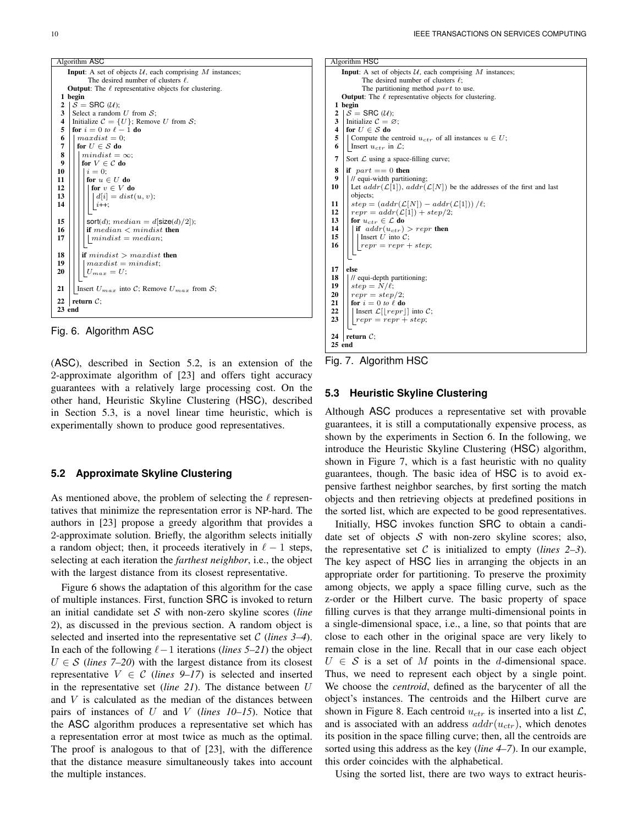

Fig. 6. Algorithm ASC

(ASC), described in Section 5.2, is an extension of the 2-approximate algorithm of [23] and offers tight accuracy guarantees with a relatively large processing cost. On the other hand, Heuristic Skyline Clustering (HSC), described in Section 5.3, is a novel linear time heuristic, which is experimentally shown to produce good representatives.

## **5.2 Approximate Skyline Clustering**

As mentioned above, the problem of selecting the  $\ell$  representatives that minimize the representation error is NP-hard. The authors in [23] propose a greedy algorithm that provides a 2-approximate solution. Briefly, the algorithm selects initially a random object; then, it proceeds iteratively in  $\ell - 1$  steps, selecting at each iteration the *farthest neighbor*, i.e., the object with the largest distance from its closest representative.

Figure 6 shows the adaptation of this algorithm for the case of multiple instances. First, function SRC is invoked to return an initial candidate set S with non-zero skyline scores (*line* 2), as discussed in the previous section. A random object is selected and inserted into the representative set C (*lines 3–4*). In each of the following  $\ell-1$  iterations (*lines 5–21*) the object  $U \in \mathcal{S}$  (*lines 7–20*) with the largest distance from its closest representative  $V \in \mathcal{C}$  (*lines 9–17*) is selected and inserted in the representative set (*line 21*). The distance between U and  $V$  is calculated as the median of the distances between pairs of instances of U and V (*lines 10–15*). Notice that the ASC algorithm produces a representative set which has a representation error at most twice as much as the optimal. The proof is analogous to that of [23], with the difference that the distance measure simultaneously takes into account the multiple instances.



Fig. 7. Algorithm HSC

## **5.3 Heuristic Skyline Clustering**

Although ASC produces a representative set with provable guarantees, it is still a computationally expensive process, as shown by the experiments in Section 6. In the following, we introduce the Heuristic Skyline Clustering (HSC) algorithm, shown in Figure 7, which is a fast heuristic with no quality guarantees, though. The basic idea of HSC is to avoid expensive farthest neighbor searches, by first sorting the match objects and then retrieving objects at predefined positions in the sorted list, which are expected to be good representatives.

Initially, HSC invokes function SRC to obtain a candidate set of objects  $S$  with non-zero skyline scores; also, the representative set  $C$  is initialized to empty *(lines 2–3)*. The key aspect of HSC lies in arranging the objects in an appropriate order for partitioning. To preserve the proximity among objects, we apply a space filling curve, such as the z-order or the Hilbert curve. The basic property of space filling curves is that they arrange multi-dimensional points in a single-dimensional space, i.e., a line, so that points that are close to each other in the original space are very likely to remain close in the line. Recall that in our case each object  $U \in S$  is a set of M points in the d-dimensional space. Thus, we need to represent each object by a single point. We choose the *centroid*, defined as the barycenter of all the object's instances. The centroids and the Hilbert curve are shown in Figure 8. Each centroid  $u_{ctr}$  is inserted into a list  $\mathcal{L}$ , and is associated with an address  $addr(u_{ctr})$ , which denotes its position in the space filling curve; then, all the centroids are sorted using this address as the key (*line 4–7*). In our example, this order coincides with the alphabetical.

Using the sorted list, there are two ways to extract heuris-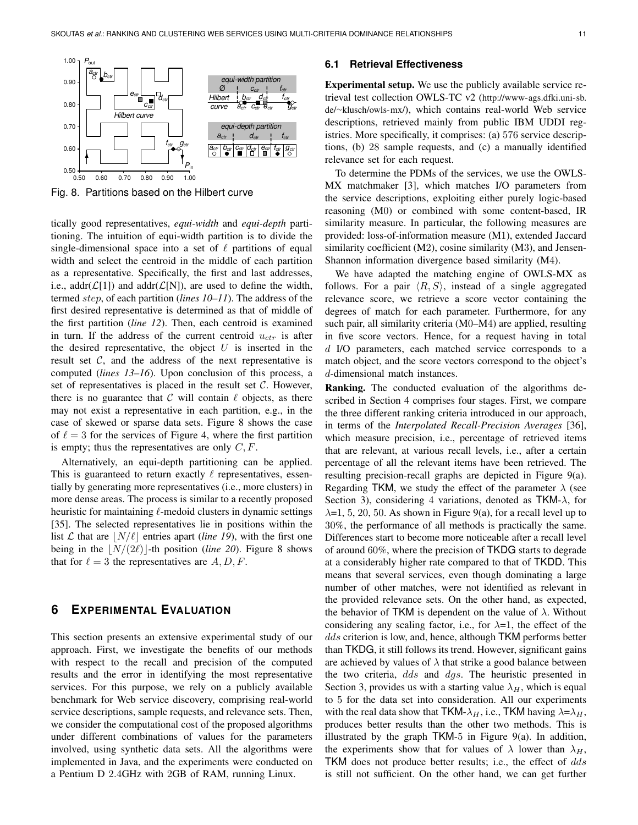

Fig. 8. Partitions based on the Hilbert curve

tically good representatives, *equi-width* and *equi-depth* partitioning. The intuition of equi-width partition is to divide the single-dimensional space into a set of  $\ell$  partitions of equal width and select the centroid in the middle of each partition as a representative. Specifically, the first and last addresses, i.e., addr( $\mathcal{L}[1]$ ) and addr( $\mathcal{L}[N]$ ), are used to define the width, termed step, of each partition (*lines 10–11*). The address of the first desired representative is determined as that of middle of the first partition (*line 12*). Then, each centroid is examined in turn. If the address of the current centroid  $u_{ctr}$  is after the desired representative, the object  $U$  is inserted in the result set  $C$ , and the address of the next representative is computed (*lines 13–16*). Upon conclusion of this process, a set of representatives is placed in the result set  $C$ . However, there is no guarantee that C will contain  $\ell$  objects, as there may not exist a representative in each partition, e.g., in the case of skewed or sparse data sets. Figure 8 shows the case of  $\ell = 3$  for the services of Figure 4, where the first partition is empty; thus the representatives are only  $C, F$ .

Alternatively, an equi-depth partitioning can be applied. This is guaranteed to return exactly  $\ell$  representatives, essentially by generating more representatives (i.e., more clusters) in more dense areas. The process is similar to a recently proposed heuristic for maintaining  $\ell$ -medoid clusters in dynamic settings [35]. The selected representatives lie in positions within the list L that are  $\vert N/\ell \vert$  entries apart *(line 19)*, with the first one being in the  $\vert N/(2\ell) \vert$ -th position (*line 20*). Figure 8 shows that for  $\ell = 3$  the representatives are  $A, D, F$ .

# **6 EXPERIMENTAL EVALUATION**

This section presents an extensive experimental study of our approach. First, we investigate the benefits of our methods with respect to the recall and precision of the computed results and the error in identifying the most representative services. For this purpose, we rely on a publicly available benchmark for Web service discovery, comprising real-world service descriptions, sample requests, and relevance sets. Then, we consider the computational cost of the proposed algorithms under different combinations of values for the parameters involved, using synthetic data sets. All the algorithms were implemented in Java, and the experiments were conducted on a Pentium D 2.4GHz with 2GB of RAM, running Linux.

#### **6.1 Retrieval Effectiveness**

Experimental setup. We use the publicly available service retrieval test collection OWLS-TC v2 (http://www-ags.dfki.uni-sb. de/∼klusch/owls-mx/), which contains real-world Web service descriptions, retrieved mainly from public IBM UDDI registries. More specifically, it comprises: (a) 576 service descriptions, (b) 28 sample requests, and (c) a manually identified relevance set for each request.

To determine the PDMs of the services, we use the OWLS-MX matchmaker [3], which matches I/O parameters from the service descriptions, exploiting either purely logic-based reasoning (M0) or combined with some content-based, IR similarity measure. In particular, the following measures are provided: loss-of-information measure (M1), extended Jaccard similarity coefficient (M2), cosine similarity (M3), and Jensen-Shannon information divergence based similarity (M4).

We have adapted the matching engine of OWLS-MX as follows. For a pair  $\langle R, S \rangle$ , instead of a single aggregated relevance score, we retrieve a score vector containing the degrees of match for each parameter. Furthermore, for any such pair, all similarity criteria (M0–M4) are applied, resulting in five score vectors. Hence, for a request having in total d I/O parameters, each matched service corresponds to a match object, and the score vectors correspond to the object's d-dimensional match instances.

Ranking. The conducted evaluation of the algorithms described in Section 4 comprises four stages. First, we compare the three different ranking criteria introduced in our approach, in terms of the *Interpolated Recall-Precision Averages* [36], which measure precision, i.e., percentage of retrieved items that are relevant, at various recall levels, i.e., after a certain percentage of all the relevant items have been retrieved. The resulting precision-recall graphs are depicted in Figure 9(a). Regarding TKM, we study the effect of the parameter  $\lambda$  (see Section 3), considering 4 variations, denoted as  $TKM-\lambda$ , for  $\lambda$ =1, 5, 20, 50. As shown in Figure 9(a), for a recall level up to 30%, the performance of all methods is practically the same. Differences start to become more noticeable after a recall level of around 60%, where the precision of TKDG starts to degrade at a considerably higher rate compared to that of TKDD. This means that several services, even though dominating a large number of other matches, were not identified as relevant in the provided relevance sets. On the other hand, as expected, the behavior of TKM is dependent on the value of  $\lambda$ . Without considering any scaling factor, i.e., for  $\lambda=1$ , the effect of the dds criterion is low, and, hence, although TKM performs better than TKDG, it still follows its trend. However, significant gains are achieved by values of  $\lambda$  that strike a good balance between the two criteria, dds and dgs. The heuristic presented in Section 3, provides us with a starting value  $\lambda_H$ , which is equal to 5 for the data set into consideration. All our experiments with the real data show that TKM- $\lambda_H$ , i.e., TKM having  $\lambda = \lambda_H$ , produces better results than the other two methods. This is illustrated by the graph  $TKM-5$  in Figure 9(a). In addition, the experiments show that for values of  $\lambda$  lower than  $\lambda_H$ , TKM does not produce better results; i.e., the effect of dds is still not sufficient. On the other hand, we can get further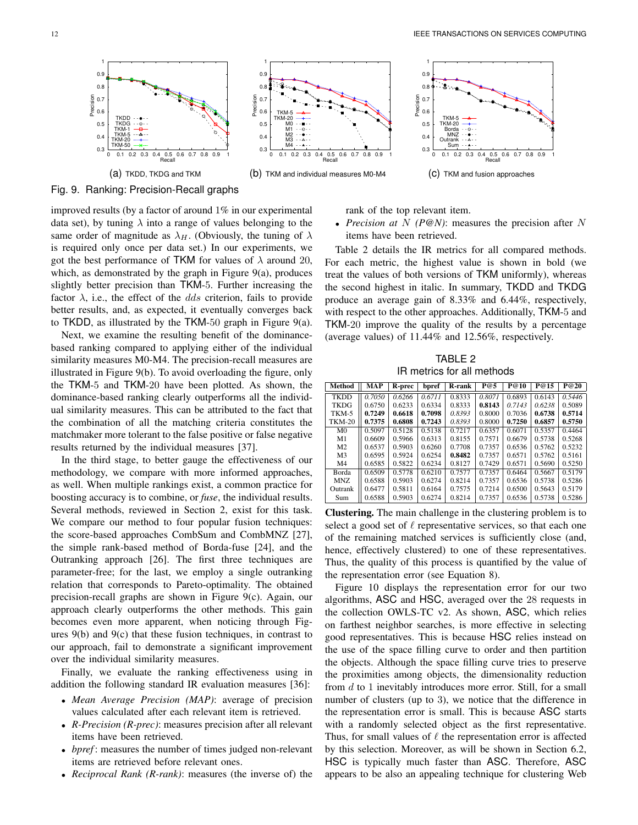0 0.1 0.2 0.3 0.4 0.5 0.6 0.7 0.8 0.9 1 Recall

(c) TKM and fusion approaches



Fig. 9. Ranking: Precision-Recall graphs

improved results (by a factor of around 1% in our experimental data set), by tuning  $\lambda$  into a range of values belonging to the same order of magnitude as  $\lambda_H$ . (Obviously, the tuning of  $\lambda$ is required only once per data set.) In our experiments, we got the best performance of TKM for values of  $\lambda$  around 20, which, as demonstrated by the graph in Figure 9(a), produces slightly better precision than TKM-5. Further increasing the factor  $\lambda$ , i.e., the effect of the *dds* criterion, fails to provide better results, and, as expected, it eventually converges back to TKDD, as illustrated by the TKM-50 graph in Figure 9(a).

Next, we examine the resulting benefit of the dominancebased ranking compared to applying either of the individual similarity measures M0-M4. The precision-recall measures are illustrated in Figure 9(b). To avoid overloading the figure, only the TKM-5 and TKM-20 have been plotted. As shown, the dominance-based ranking clearly outperforms all the individual similarity measures. This can be attributed to the fact that the combination of all the matching criteria constitutes the matchmaker more tolerant to the false positive or false negative results returned by the individual measures [37].

In the third stage, to better gauge the effectiveness of our methodology, we compare with more informed approaches, as well. When multiple rankings exist, a common practice for boosting accuracy is to combine, or *fuse*, the individual results. Several methods, reviewed in Section 2, exist for this task. We compare our method to four popular fusion techniques: the score-based approaches CombSum and CombMNZ [27], the simple rank-based method of Borda-fuse [24], and the Outranking approach [26]. The first three techniques are parameter-free; for the last, we employ a single outranking relation that corresponds to Pareto-optimality. The obtained precision-recall graphs are shown in Figure 9(c). Again, our approach clearly outperforms the other methods. This gain becomes even more apparent, when noticing through Figures 9(b) and 9(c) that these fusion techniques, in contrast to our approach, fail to demonstrate a significant improvement over the individual similarity measures.

Finally, we evaluate the ranking effectiveness using in addition the following standard IR evaluation measures [36]:

- *Mean Average Precision (MAP)*: average of precision values calculated after each relevant item is retrieved.
- *R-Precision (R-prec)*: measures precision after all relevant items have been retrieved.
- *bpref* : measures the number of times judged non-relevant items are retrieved before relevant ones.
- *Reciprocal Rank (R-rank)*: measures (the inverse of) the

rank of the top relevant item.

 0.3  $\mathbf{0}$  $0.5$ 5 0.7<br>ဗီစီ 0.6<br>A 0.6  $0.7$  $0.8$  $0.9$  $1 -$ 

• *Precision at*  $N$  *(P@N)*: measures the precision after  $N$ items have been retrieved.

TKM-5 $-4$ TKM-20 ----+ Borda - - C  $MNZ - -$ Outrank - - 4  $Sum - 4 -$ 

Table 2 details the IR metrics for all compared methods. For each metric, the highest value is shown in bold (we treat the values of both versions of TKM uniformly), whereas the second highest in italic. In summary, TKDD and TKDG produce an average gain of 8.33% and 6.44%, respectively, with respect to the other approaches. Additionally, TKM-5 and TKM-20 improve the quality of the results by a percentage (average values) of 11.44% and 12.56%, respectively.

TABLE 2 IR metrics for all methods

| Method         | MAP    | R-prec | bpref  | <b>R-rank</b> | P@5    | P@10   | P@15   | P@20   |
|----------------|--------|--------|--------|---------------|--------|--------|--------|--------|
| <b>TKDD</b>    | 0.7050 | 0.6266 | 0.6711 | 0.8333        | 0.8071 | 0.6893 | 0.6143 | 0.5446 |
| <b>TKDG</b>    | 0.6750 | 0.6233 | 0.6334 | 0.8333        | 0.8143 | 0.7143 | 0.6238 | 0.5089 |
| TKM-5          | 0.7249 | 0.6618 | 0.7098 | 0.8393        | 0.8000 | 0.7036 | 0.6738 | 0.5714 |
| <b>TKM-20</b>  | 0.7375 | 0.6808 | 0.7243 | 0.8393        | 0.8000 | 0.7250 | 0.6857 | 0.5750 |
| M <sub>0</sub> | 0.5097 | 0.5128 | 0.5138 | 0.7217        | 0.6357 | 0.6071 | 0.5357 | 0.4464 |
| M1             | 0.6609 | 0.5966 | 0.6313 | 0.8155        | 0.7571 | 0.6679 | 0.5738 | 0.5268 |
| M <sub>2</sub> | 0.6537 | 0.5903 | 0.6260 | 0.7708        | 0.7357 | 0.6536 | 0.5762 | 0.5232 |
| M <sub>3</sub> | 0.6595 | 0.5924 | 0.6254 | 0.8482        | 0.7357 | 0.6571 | 0.5762 | 0.5161 |
| M4             | 0.6585 | 0.5822 | 0.6234 | 0.8127        | 0.7429 | 0.6571 | 0.5690 | 0.5250 |
| Borda          | 0.6509 | 0.5778 | 0.6210 | 0.7577        | 0.7357 | 0.6464 | 0.5667 | 0.5179 |
| MNZ            | 0.6588 | 0.5903 | 0.6274 | 0.8214        | 0.7357 | 0.6536 | 0.5738 | 0.5286 |
| Outrank        | 0.6477 | 0.5811 | 0.6164 | 0.7575        | 0.7214 | 0.6500 | 0.5643 | 0.5179 |
| Sum            | 0.6588 | 0.5903 | 0.6274 | 0.8214        | 0.7357 | 0.6536 | 0.5738 | 0.5286 |

Clustering. The main challenge in the clustering problem is to select a good set of  $\ell$  representative services, so that each one of the remaining matched services is sufficiently close (and, hence, effectively clustered) to one of these representatives. Thus, the quality of this process is quantified by the value of the representation error (see Equation 8).

Figure 10 displays the representation error for our two algorithms, ASC and HSC, averaged over the 28 requests in the collection OWLS-TC v2. As shown, ASC, which relies on farthest neighbor searches, is more effective in selecting good representatives. This is because HSC relies instead on the use of the space filling curve to order and then partition the objects. Although the space filling curve tries to preserve the proximities among objects, the dimensionality reduction from d to 1 inevitably introduces more error. Still, for a small number of clusters (up to 3), we notice that the difference in the representation error is small. This is because ASC starts with a randomly selected object as the first representative. Thus, for small values of  $\ell$  the representation error is affected by this selection. Moreover, as will be shown in Section 6.2, HSC is typically much faster than ASC. Therefore, ASC appears to be also an appealing technique for clustering Web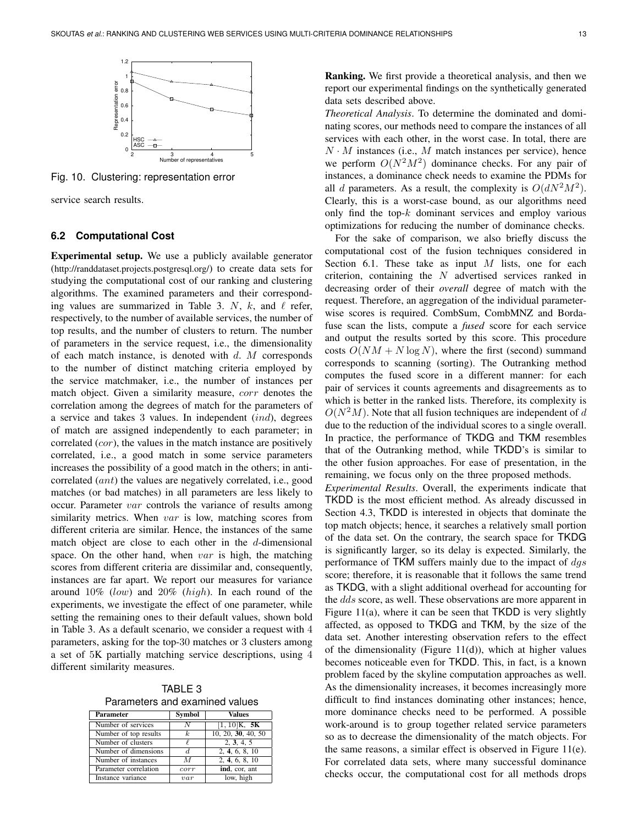

Fig. 10. Clustering: representation error

service search results.

#### **6.2 Computational Cost**

Experimental setup. We use a publicly available generator (http://randdataset.projects.postgresql.org/) to create data sets for studying the computational cost of our ranking and clustering algorithms. The examined parameters and their corresponding values are summarized in Table 3. N, k, and  $\ell$  refer, respectively, to the number of available services, the number of top results, and the number of clusters to return. The number of parameters in the service request, i.e., the dimensionality of each match instance, is denoted with  $d$ . M corresponds to the number of distinct matching criteria employed by the service matchmaker, i.e., the number of instances per match object. Given a similarity measure, *corr* denotes the correlation among the degrees of match for the parameters of a service and takes 3 values. In independent (ind), degrees of match are assigned independently to each parameter; in correlated (*cor*), the values in the match instance are positively correlated, i.e., a good match in some service parameters increases the possibility of a good match in the others; in anticorrelated (ant) the values are negatively correlated, i.e., good matches (or bad matches) in all parameters are less likely to occur. Parameter var controls the variance of results among similarity metrics. When var is low, matching scores from different criteria are similar. Hence, the instances of the same match object are close to each other in the  $d$ -dimensional space. On the other hand, when  $var$  is high, the matching scores from different criteria are dissimilar and, consequently, instances are far apart. We report our measures for variance around 10% (low) and 20% (high). In each round of the experiments, we investigate the effect of one parameter, while setting the remaining ones to their default values, shown bold in Table 3. As a default scenario, we consider a request with 4 parameters, asking for the top-30 matches or 3 clusters among a set of 5K partially matching service descriptions, using 4 different similarity measures.

TABLE 3 Parameters and examined values

| <b>Parameter</b>      | Symbol | Values             |
|-----------------------|--------|--------------------|
| Number of services    | N      | $[1, 10]$ K, 5K    |
| Number of top results | k      | 10, 20, 30, 40, 50 |
| Number of clusters    |        | 2, 3, 4, 5         |
| Number of dimensions  | d.     | 2, 4, 6, 8, 10     |
| Number of instances   | M      | 2, 4, 6, 8, 10     |
| Parameter correlation | corr   | ind, cor, ant      |
| Instance variance     | var    | low, high          |

Ranking. We first provide a theoretical analysis, and then we report our experimental findings on the synthetically generated data sets described above.

*Theoretical Analysis*. To determine the dominated and dominating scores, our methods need to compare the instances of all services with each other, in the worst case. In total, there are  $N \cdot M$  instances (i.e., M match instances per service), hence we perform  $O(N^2M^2)$  dominance checks. For any pair of instances, a dominance check needs to examine the PDMs for all d parameters. As a result, the complexity is  $O(dN^2M^2)$ . Clearly, this is a worst-case bound, as our algorithms need only find the top- $k$  dominant services and employ various optimizations for reducing the number of dominance checks.

For the sake of comparison, we also briefly discuss the computational cost of the fusion techniques considered in Section 6.1. These take as input  $M$  lists, one for each criterion, containing the  $N$  advertised services ranked in decreasing order of their *overall* degree of match with the request. Therefore, an aggregation of the individual parameterwise scores is required. CombSum, CombMNZ and Bordafuse scan the lists, compute a *fused* score for each service and output the results sorted by this score. This procedure costs  $O(NM + N \log N)$ , where the first (second) summand corresponds to scanning (sorting). The Outranking method computes the fused score in a different manner: for each pair of services it counts agreements and disagreements as to which is better in the ranked lists. Therefore, its complexity is  $O(N<sup>2</sup>M)$ . Note that all fusion techniques are independent of d due to the reduction of the individual scores to a single overall. In practice, the performance of TKDG and TKM resembles that of the Outranking method, while TKDD's is similar to the other fusion approaches. For ease of presentation, in the remaining, we focus only on the three proposed methods.

*Experimental Results*. Overall, the experiments indicate that TKDD is the most efficient method. As already discussed in Section 4.3, TKDD is interested in objects that dominate the top match objects; hence, it searches a relatively small portion of the data set. On the contrary, the search space for TKDG is significantly larger, so its delay is expected. Similarly, the performance of TKM suffers mainly due to the impact of  $dgs$ score; therefore, it is reasonable that it follows the same trend as TKDG, with a slight additional overhead for accounting for the dds score, as well. These observations are more apparent in Figure 11(a), where it can be seen that TKDD is very slightly affected, as opposed to TKDG and TKM, by the size of the data set. Another interesting observation refers to the effect of the dimensionality (Figure 11(d)), which at higher values becomes noticeable even for TKDD. This, in fact, is a known problem faced by the skyline computation approaches as well. As the dimensionality increases, it becomes increasingly more difficult to find instances dominating other instances; hence, more dominance checks need to be performed. A possible work-around is to group together related service parameters so as to decrease the dimensionality of the match objects. For the same reasons, a similar effect is observed in Figure 11(e). For correlated data sets, where many successful dominance checks occur, the computational cost for all methods drops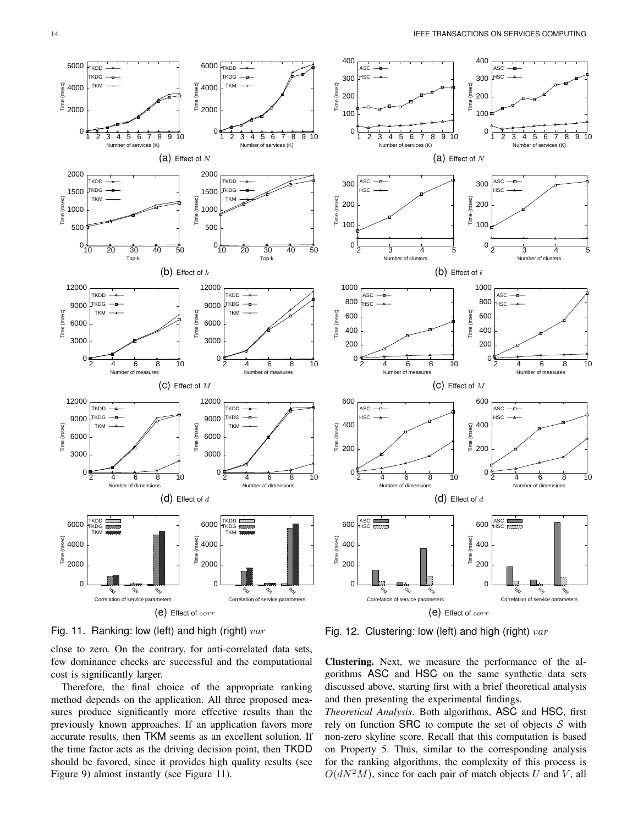Number of clusters

Number of measures

co,

ant



Fig. 11. Ranking: low (left) and high (right)  $var$ 

close to zero. On the contrary, for anti-correlated data sets, few dominance checks are successful and the computational cost is significantly larger.

Therefore, the final choice of the appropriate ranking method depends on the application. All three proposed measures produce significantly more effective results than the previously known approaches. If an application favors more accurate results, then TKM seems as an excellent solution. If the time factor acts as the driving decision point, then TKDD should be favored, since it provides high quality results (see

Fig. 12. Clustering: low (left) and high (right)  $var$ 

Clustering. Next, we measure the performance of the algorithms ASC and HSC on the same synthetic data sets discussed above, starting first with a brief theoretical analysis and then presenting the experimental findings.

*Theoretical Analysis*. Both algorithms, ASC and HSC, first rely on function SRC to compute the set of objects  $S$  with non-zero skyline score. Recall that this computation is based on Property 5. Thus, similar to the corresponding analysis for the ranking algorithms, the complexity of this process is  $O(dN^2M)$ , since for each pair of match objects U and V, all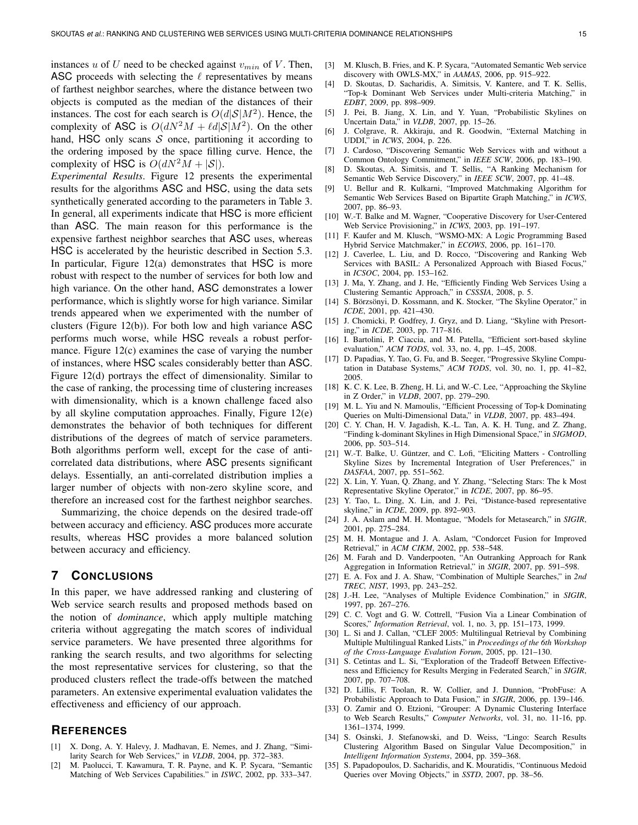instances u of U need to be checked against  $v_{min}$  of V. Then, ASC proceeds with selecting the  $\ell$  representatives by means of farthest neighbor searches, where the distance between two objects is computed as the median of the distances of their instances. The cost for each search is  $O(d|\mathcal{S}|M^2)$ . Hence, the complexity of ASC is  $O(dN^2M + \ell d|S|M^2)$ . On the other hand, HSC only scans  $S$  once, partitioning it according to the ordering imposed by the space filling curve. Hence, the complexity of HSC is  $O(dN^2M + |\mathcal{S}|)$ .

*Experimental Results*. Figure 12 presents the experimental results for the algorithms ASC and HSC, using the data sets synthetically generated according to the parameters in Table 3. In general, all experiments indicate that HSC is more efficient than ASC. The main reason for this performance is the expensive farthest neighbor searches that ASC uses, whereas HSC is accelerated by the heuristic described in Section 5.3. In particular, Figure 12(a) demonstrates that HSC is more robust with respect to the number of services for both low and high variance. On the other hand, ASC demonstrates a lower performance, which is slightly worse for high variance. Similar trends appeared when we experimented with the number of clusters (Figure 12(b)). For both low and high variance ASC performs much worse, while HSC reveals a robust performance. Figure 12(c) examines the case of varying the number of instances, where HSC scales considerably better than ASC. Figure 12(d) portrays the effect of dimensionality. Similar to the case of ranking, the processing time of clustering increases with dimensionality, which is a known challenge faced also by all skyline computation approaches. Finally, Figure 12(e) demonstrates the behavior of both techniques for different distributions of the degrees of match of service parameters. Both algorithms perform well, except for the case of anticorrelated data distributions, where ASC presents significant delays. Essentially, an anti-correlated distribution implies a larger number of objects with non-zero skyline score, and therefore an increased cost for the farthest neighbor searches.

Summarizing, the choice depends on the desired trade-off between accuracy and efficiency. ASC produces more accurate results, whereas HSC provides a more balanced solution between accuracy and efficiency.

# **7 CONCLUSIONS**

In this paper, we have addressed ranking and clustering of Web service search results and proposed methods based on the notion of *dominance*, which apply multiple matching criteria without aggregating the match scores of individual service parameters. We have presented three algorithms for ranking the search results, and two algorithms for selecting the most representative services for clustering, so that the produced clusters reflect the trade-offs between the matched parameters. An extensive experimental evaluation validates the effectiveness and efficiency of our approach.

## **REFERENCES**

- [1] X. Dong, A. Y. Halevy, J. Madhavan, E. Nemes, and J. Zhang, "Similarity Search for Web Services," in *VLDB*, 2004, pp. 372–383.
- [2] M. Paolucci, T. Kawamura, T. R. Payne, and K. P. Sycara, "Semantic Matching of Web Services Capabilities." in *ISWC*, 2002, pp. 333–347.
- [3] M. Klusch, B. Fries, and K. P. Sycara, "Automated Semantic Web service discovery with OWLS-MX," in *AAMAS*, 2006, pp. 915–922.
- [4] D. Skoutas, D. Sacharidis, A. Simitsis, V. Kantere, and T. K. Sellis, "Top-k Dominant Web Services under Multi-criteria Matching," in *EDBT*, 2009, pp. 898–909.
- [5] J. Pei, B. Jiang, X. Lin, and Y. Yuan, "Probabilistic Skylines on Uncertain Data," in *VLDB*, 2007, pp. 15–26.
- [6] J. Colgrave, R. Akkiraju, and R. Goodwin, "External Matching in UDDI," in *ICWS*, 2004, p. 226.
- [7] J. Cardoso, "Discovering Semantic Web Services with and without a Common Ontology Commitment," in *IEEE SCW*, 2006, pp. 183–190.
- [8] D. Skoutas, A. Simitsis, and T. Sellis, "A Ranking Mechanism for Semantic Web Service Discovery," in *IEEE SCW*, 2007, pp. 41–48.
- [9] U. Bellur and R. Kulkarni, "Improved Matchmaking Algorithm for Semantic Web Services Based on Bipartite Graph Matching," in *ICWS*, 2007, pp. 86–93.
- [10] W.-T. Balke and M. Wagner, "Cooperative Discovery for User-Centered Web Service Provisioning," in *ICWS*, 2003, pp. 191–197.
- [11] F. Kaufer and M. Klusch, "WSMO-MX: A Logic Programming Based Hybrid Service Matchmaker," in *ECOWS*, 2006, pp. 161–170.
- [12] J. Caverlee, L. Liu, and D. Rocco, "Discovering and Ranking Web Services with BASIL: A Personalized Approach with Biased Focus," in *ICSOC*, 2004, pp. 153–162.
- [13] J. Ma, Y. Zhang, and J. He, "Efficiently Finding Web Services Using a Clustering Semantic Approach," in *CSSSIA*, 2008, p. 5.
- [14] S. Börzsönyi, D. Kossmann, and K. Stocker, "The Skyline Operator," in *ICDE*, 2001, pp. 421–430.
- [15] J. Chomicki, P. Godfrey, J. Gryz, and D. Liang, "Skyline with Presorting," in *ICDE*, 2003, pp. 717–816.
- [16] I. Bartolini, P. Ciaccia, and M. Patella, "Efficient sort-based skyline evaluation," *ACM TODS*, vol. 33, no. 4, pp. 1–45, 2008.
- [17] D. Papadias, Y. Tao, G. Fu, and B. Seeger, "Progressive Skyline Computation in Database Systems," *ACM TODS*, vol. 30, no. 1, pp. 41–82, 2005.
- [18] K. C. K. Lee, B. Zheng, H. Li, and W.-C. Lee, "Approaching the Skyline in Z Order," in *VLDB*, 2007, pp. 279–290.
- [19] M. L. Yiu and N. Mamoulis, "Efficient Processing of Top-k Dominating Queries on Multi-Dimensional Data," in *VLDB*, 2007, pp. 483–494.
- [20] C. Y. Chan, H. V. Jagadish, K.-L. Tan, A. K. H. Tung, and Z. Zhang, "Finding k-dominant Skylines in High Dimensional Space," in *SIGMOD*, 2006, pp. 503–514.
- [21] W.-T. Balke, U. Güntzer, and C. Lofi, "Eliciting Matters Controlling Skyline Sizes by Incremental Integration of User Preferences," in *DASFAA*, 2007, pp. 551–562.
- [22] X. Lin, Y. Yuan, Q. Zhang, and Y. Zhang, "Selecting Stars: The k Most Representative Skyline Operator," in *ICDE*, 2007, pp. 86–95.
- [23] Y. Tao, L. Ding, X. Lin, and J. Pei, "Distance-based representative skyline," in *ICDE*, 2009, pp. 892–903.
- [24] J. A. Aslam and M. H. Montague, "Models for Metasearch," in *SIGIR*, 2001, pp. 275–284.
- [25] M. H. Montague and J. A. Aslam, "Condorcet Fusion for Improved Retrieval," in *ACM CIKM*, 2002, pp. 538–548.
- [26] M. Farah and D. Vanderpooten, "An Outranking Approach for Rank Aggregation in Information Retrieval," in *SIGIR*, 2007, pp. 591–598.
- [27] E. A. Fox and J. A. Shaw, "Combination of Multiple Searches," in *2nd TREC, NIST*, 1993, pp. 243–252.
- [28] J.-H. Lee, "Analyses of Multiple Evidence Combination," in *SIGIR*, 1997, pp. 267–276.
- [29] C. C. Vogt and G. W. Cottrell, "Fusion Via a Linear Combination of Scores," *Information Retrieval*, vol. 1, no. 3, pp. 151–173, 1999.
- [30] L. Si and J. Callan, "CLEF 2005: Multilingual Retrieval by Combining Multiple Multilingual Ranked Lists," in *Proceedings of the 6th Workshop of the Cross-Language Evalution Forum*, 2005, pp. 121–130.
- [31] S. Cetintas and L. Si, "Exploration of the Tradeoff Between Effectiveness and Efficiency for Results Merging in Federated Search," in *SIGIR*, 2007, pp. 707–708.
- [32] D. Lillis, F. Toolan, R. W. Collier, and J. Dunnion, "ProbFuse: A Probabilistic Approach to Data Fusion," in *SIGIR*, 2006, pp. 139–146.
- [33] O. Zamir and O. Etzioni, "Grouper: A Dynamic Clustering Interface to Web Search Results," *Computer Networks*, vol. 31, no. 11-16, pp. 1361–1374, 1999.
- [34] S. Osinski, J. Stefanowski, and D. Weiss, "Lingo: Search Results Clustering Algorithm Based on Singular Value Decomposition," in *Intelligent Information Systems*, 2004, pp. 359–368.
- [35] S. Papadopoulos, D. Sacharidis, and K. Mouratidis, "Continuous Medoid Queries over Moving Objects," in *SSTD*, 2007, pp. 38–56.